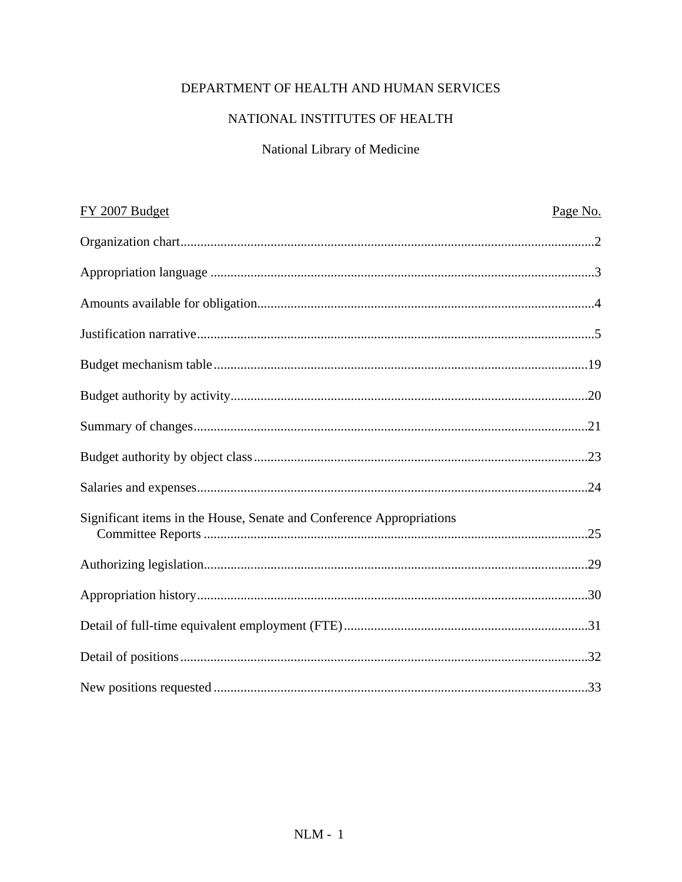# DEPARTMENT OF HEALTH AND HUMAN SERVICES

# NATIONAL INSTITUTES OF HEALTH

# National Library of Medicine

| FY 2007 Budget                                                       | Page No. |
|----------------------------------------------------------------------|----------|
|                                                                      |          |
|                                                                      |          |
|                                                                      |          |
|                                                                      |          |
|                                                                      |          |
|                                                                      |          |
|                                                                      |          |
|                                                                      |          |
|                                                                      |          |
| Significant items in the House, Senate and Conference Appropriations |          |
|                                                                      |          |
|                                                                      |          |
|                                                                      |          |
|                                                                      |          |
|                                                                      |          |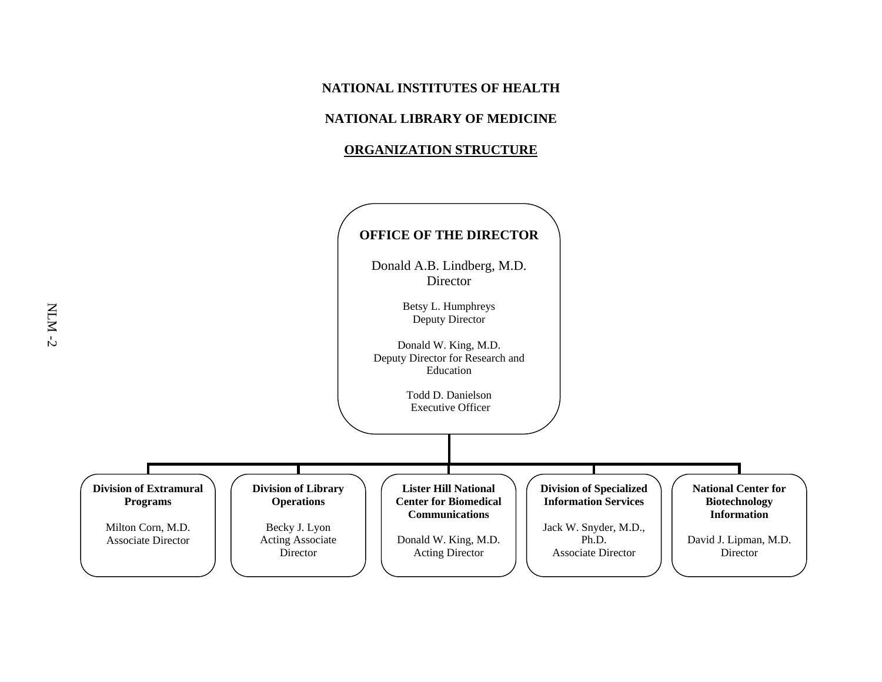#### **NATIONAL INSTITUTES OF HEALTH**

## **NATIONAL LIBRARY OF MEDICINE**

#### **ORGANIZATION STRUCTURE**

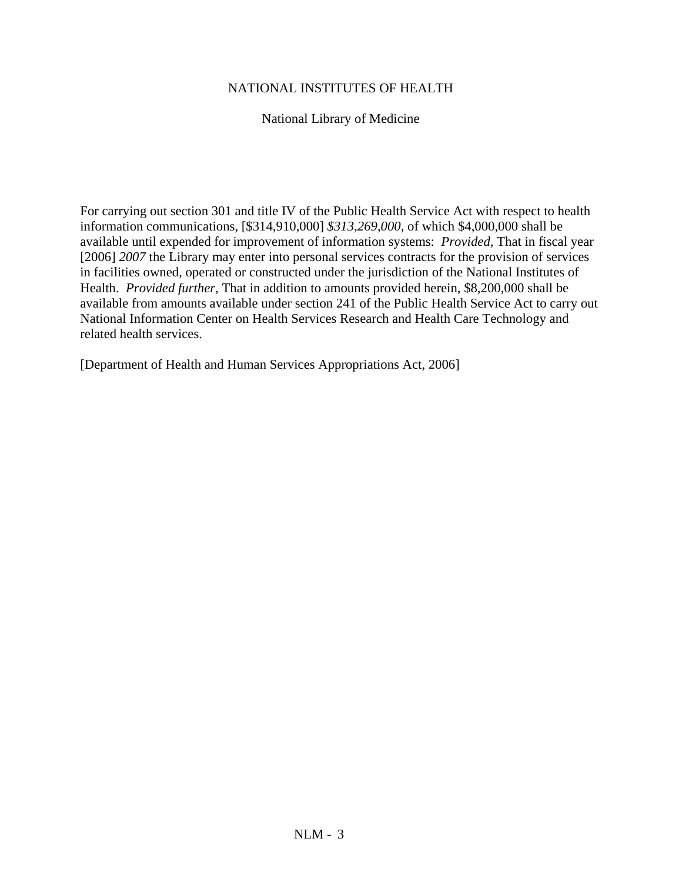### NATIONAL INSTITUTES OF HEALTH

National Library of Medicine

For carrying out section 301 and title IV of the Public Health Service Act with respect to health information communications, [\$314,910,000] *\$313,269,000,* of which \$4,000,000 shall be available until expended for improvement of information systems: *Provided*, That in fiscal year [2006] *2007* the Library may enter into personal services contracts for the provision of services in facilities owned, operated or constructed under the jurisdiction of the National Institutes of Health. *Provided further*, That in addition to amounts provided herein, \$8,200,000 shall be available from amounts available under section 241 of the Public Health Service Act to carry out National Information Center on Health Services Research and Health Care Technology and related health services.

[Department of Health and Human Services Appropriations Act, 2006]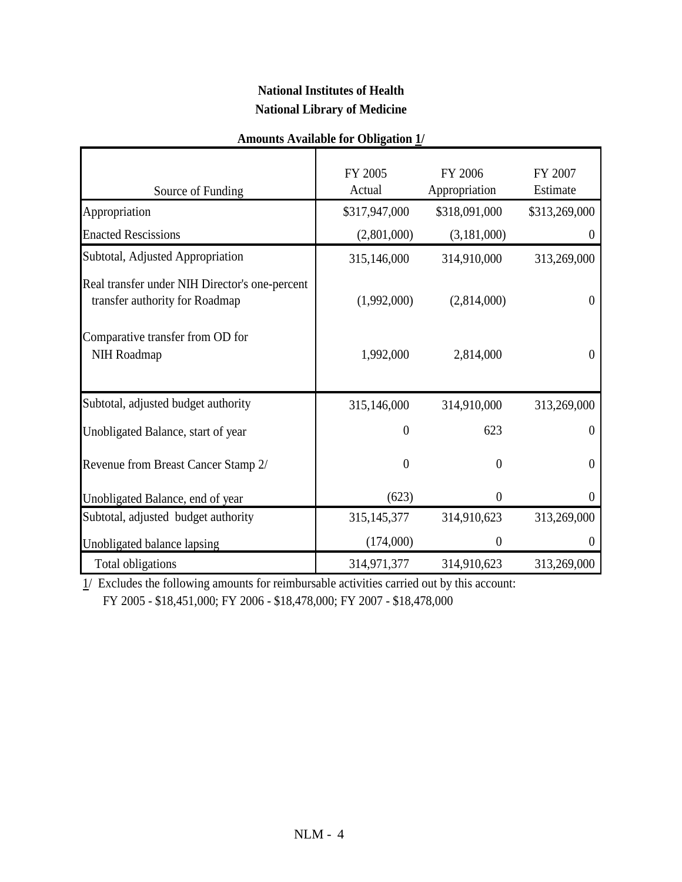# **National Institutes of Health National Library of Medicine**

| Source of Funding                                                                | FY 2005<br>Actual | FY 2006<br>Appropriation | FY 2007<br>Estimate |
|----------------------------------------------------------------------------------|-------------------|--------------------------|---------------------|
| Appropriation                                                                    | \$317,947,000     | \$318,091,000            | \$313,269,000       |
| <b>Enacted Rescissions</b>                                                       | (2,801,000)       | (3,181,000)              | $\theta$            |
| Subtotal, Adjusted Appropriation                                                 | 315,146,000       | 314,910,000              | 313,269,000         |
| Real transfer under NIH Director's one-percent<br>transfer authority for Roadmap | (1,992,000)       | (2,814,000)              | 0                   |
| Comparative transfer from OD for<br>NIH Roadmap                                  | 1,992,000         | 2,814,000                | $\theta$            |
| Subtotal, adjusted budget authority                                              | 315,146,000       | 314,910,000              | 313,269,000         |
| Unobligated Balance, start of year                                               | $\overline{0}$    | 623                      | $\boldsymbol{0}$    |
| Revenue from Breast Cancer Stamp 2/                                              | $\mathbf{0}$      | $\theta$                 | $\overline{0}$      |
| Unobligated Balance, end of year                                                 | (623)             | $\theta$                 | $\theta$            |
| Subtotal, adjusted budget authority                                              | 315, 145, 377     | 314,910,623              | 313,269,000         |
| Unobligated balance lapsing                                                      | (174,000)         | $\theta$                 |                     |
| Total obligations                                                                | 314,971,377       | 314,910,623              | 313,269,000         |

### **Amounts Available for Obligation 1/**

 $\frac{1}{2}$  Excludes the following amounts for reimbursable activities carried out by this account: FY 2005 - \$18,451,000; FY 2006 - \$18,478,000; FY 2007 - \$18,478,000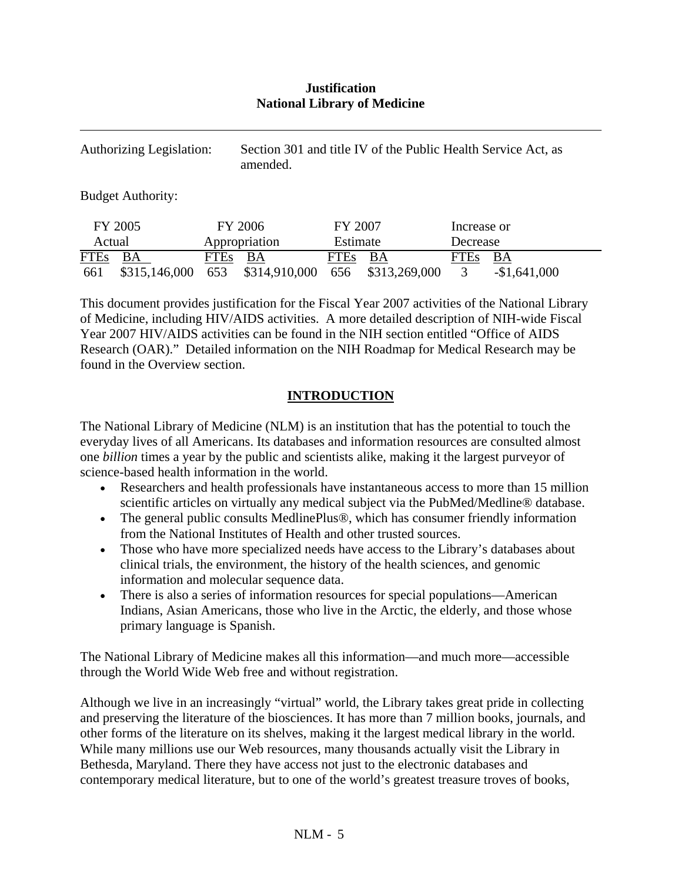### **Justification National Library of Medicine**

| <b>Authorizing Legislation:</b> |                          |      | amended.      |             | Section 301 and title IV of the Public Health Service Act, as |             |               |
|---------------------------------|--------------------------|------|---------------|-------------|---------------------------------------------------------------|-------------|---------------|
|                                 | <b>Budget Authority:</b> |      |               |             |                                                               |             |               |
|                                 | FY 2005                  |      | FY 2006       | FY 2007     |                                                               | Increase or |               |
| Actual                          |                          |      | Appropriation | Estimate    |                                                               | Decrease    |               |
| <b>FTEs</b>                     | BA                       | FTEs | BA            | <b>FTEs</b> | BA                                                            | FTEs        | BA            |
| 661                             | \$315,146,000            | 653  | \$314,910,000 | 656         | \$313,269,000                                                 |             | $-$1,641,000$ |

This document provides justification for the Fiscal Year 2007 activities of the National Library of Medicine, including HIV/AIDS activities. A more detailed description of NIH-wide Fiscal Year 2007 HIV/AIDS activities can be found in the NIH section entitled "Office of AIDS Research (OAR)." Detailed information on the NIH Roadmap for Medical Research may be found in the Overview section.

## **INTRODUCTION**

The National Library of Medicine (NLM) is an institution that has the potential to touch the everyday lives of all Americans. Its databases and information resources are consulted almost one *billion* times a year by the public and scientists alike, making it the largest purveyor of science-based health information in the world.

- Researchers and health professionals have instantaneous access to more than 15 million scientific articles on virtually any medical subject via the PubMed/Medline® database.
- The general public consults MedlinePlus®, which has consumer friendly information from the National Institutes of Health and other trusted sources.
- Those who have more specialized needs have access to the Library's databases about clinical trials, the environment, the history of the health sciences, and genomic information and molecular sequence data.
- There is also a series of information resources for special populations—American Indians, Asian Americans, those who live in the Arctic, the elderly, and those whose primary language is Spanish.

The National Library of Medicine makes all this information—and much more—accessible through the World Wide Web free and without registration.

Although we live in an increasingly "virtual" world, the Library takes great pride in collecting and preserving the literature of the biosciences. It has more than 7 million books, journals, and other forms of the literature on its shelves, making it the largest medical library in the world. While many millions use our Web resources, many thousands actually visit the Library in Bethesda, Maryland. There they have access not just to the electronic databases and contemporary medical literature, but to one of the world's greatest treasure troves of books,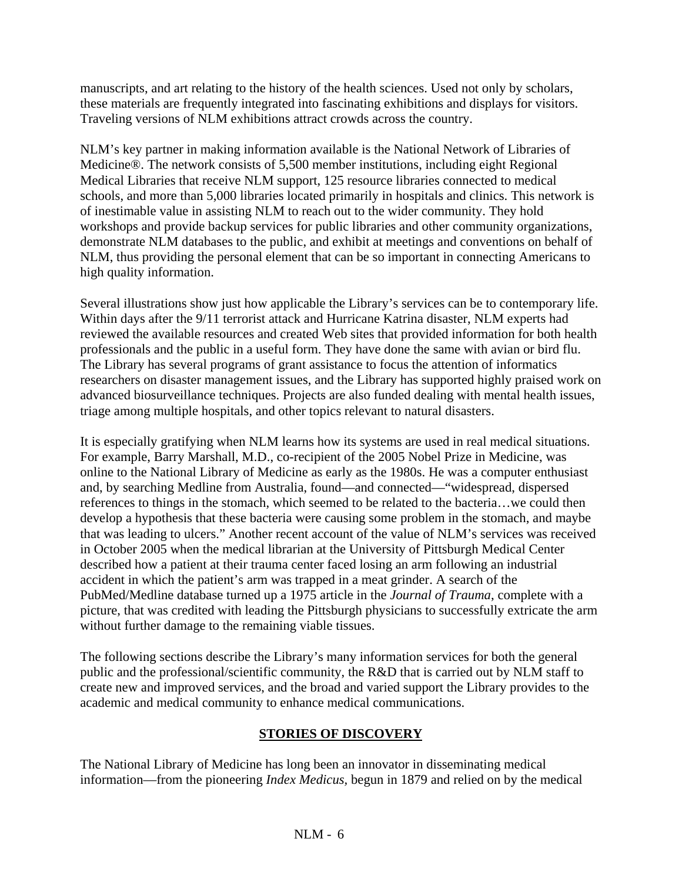manuscripts, and art relating to the history of the health sciences. Used not only by scholars, these materials are frequently integrated into fascinating exhibitions and displays for visitors. Traveling versions of NLM exhibitions attract crowds across the country.

NLM's key partner in making information available is the National Network of Libraries of Medicine®. The network consists of 5,500 member institutions, including eight Regional Medical Libraries that receive NLM support, 125 resource libraries connected to medical schools, and more than 5,000 libraries located primarily in hospitals and clinics. This network is of inestimable value in assisting NLM to reach out to the wider community. They hold workshops and provide backup services for public libraries and other community organizations, demonstrate NLM databases to the public, and exhibit at meetings and conventions on behalf of NLM, thus providing the personal element that can be so important in connecting Americans to high quality information.

Several illustrations show just how applicable the Library's services can be to contemporary life. Within days after the 9/11 terrorist attack and Hurricane Katrina disaster, NLM experts had reviewed the available resources and created Web sites that provided information for both health professionals and the public in a useful form. They have done the same with avian or bird flu. The Library has several programs of grant assistance to focus the attention of informatics researchers on disaster management issues, and the Library has supported highly praised work on advanced biosurveillance techniques. Projects are also funded dealing with mental health issues, triage among multiple hospitals, and other topics relevant to natural disasters.

It is especially gratifying when NLM learns how its systems are used in real medical situations. For example, Barry Marshall, M.D., co-recipient of the 2005 Nobel Prize in Medicine, was online to the National Library of Medicine as early as the 1980s. He was a computer enthusiast and, by searching Medline from Australia, found—and connected—"widespread, dispersed references to things in the stomach, which seemed to be related to the bacteria…we could then develop a hypothesis that these bacteria were causing some problem in the stomach, and maybe that was leading to ulcers." Another recent account of the value of NLM's services was received in October 2005 when the medical librarian at the University of Pittsburgh Medical Center described how a patient at their trauma center faced losing an arm following an industrial accident in which the patient's arm was trapped in a meat grinder. A search of the PubMed/Medline database turned up a 1975 article in the *Journal of Trauma*, complete with a picture, that was credited with leading the Pittsburgh physicians to successfully extricate the arm without further damage to the remaining viable tissues.

The following sections describe the Library's many information services for both the general public and the professional/scientific community, the R&D that is carried out by NLM staff to create new and improved services, and the broad and varied support the Library provides to the academic and medical community to enhance medical communications.

## **STORIES OF DISCOVERY**

The National Library of Medicine has long been an innovator in disseminating medical information—from the pioneering *Index Medicus,* begun in 1879 and relied on by the medical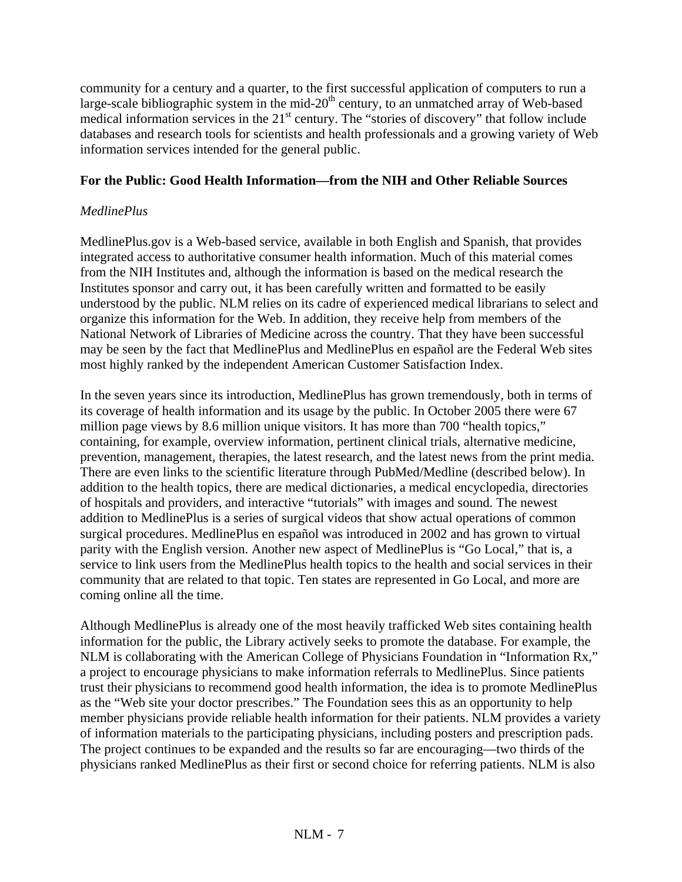community for a century and a quarter, to the first successful application of computers to run a large-scale bibliographic system in the mid-20<sup>th</sup> century, to an unmatched array of Web-based medical information services in the 21<sup>st</sup> century. The "stories of discovery" that follow include databases and research tools for scientists and health professionals and a growing variety of Web information services intended for the general public.

## **For the Public: Good Health Information—from the NIH and Other Reliable Sources**

### *MedlinePlus*

MedlinePlus.gov is a Web-based service, available in both English and Spanish, that provides integrated access to authoritative consumer health information. Much of this material comes from the NIH Institutes and, although the information is based on the medical research the Institutes sponsor and carry out, it has been carefully written and formatted to be easily understood by the public. NLM relies on its cadre of experienced medical librarians to select and organize this information for the Web. In addition, they receive help from members of the National Network of Libraries of Medicine across the country. That they have been successful may be seen by the fact that MedlinePlus and MedlinePlus en español are the Federal Web sites most highly ranked by the independent American Customer Satisfaction Index.

In the seven years since its introduction, MedlinePlus has grown tremendously, both in terms of its coverage of health information and its usage by the public. In October 2005 there were 67 million page views by 8.6 million unique visitors. It has more than 700 "health topics," containing, for example, overview information, pertinent clinical trials, alternative medicine, prevention, management, therapies, the latest research, and the latest news from the print media. There are even links to the scientific literature through PubMed/Medline (described below). In addition to the health topics, there are medical dictionaries, a medical encyclopedia, directories of hospitals and providers, and interactive "tutorials" with images and sound. The newest addition to MedlinePlus is a series of surgical videos that show actual operations of common surgical procedures. MedlinePlus en español was introduced in 2002 and has grown to virtual parity with the English version. Another new aspect of MedlinePlus is "Go Local," that is, a service to link users from the MedlinePlus health topics to the health and social services in their community that are related to that topic. Ten states are represented in Go Local, and more are coming online all the time.

Although MedlinePlus is already one of the most heavily trafficked Web sites containing health information for the public, the Library actively seeks to promote the database. For example, the NLM is collaborating with the American College of Physicians Foundation in "Information Rx," a project to encourage physicians to make information referrals to MedlinePlus. Since patients trust their physicians to recommend good health information, the idea is to promote MedlinePlus as the "Web site your doctor prescribes." The Foundation sees this as an opportunity to help member physicians provide reliable health information for their patients. NLM provides a variety of information materials to the participating physicians, including posters and prescription pads. The project continues to be expanded and the results so far are encouraging—two thirds of the physicians ranked MedlinePlus as their first or second choice for referring patients. NLM is also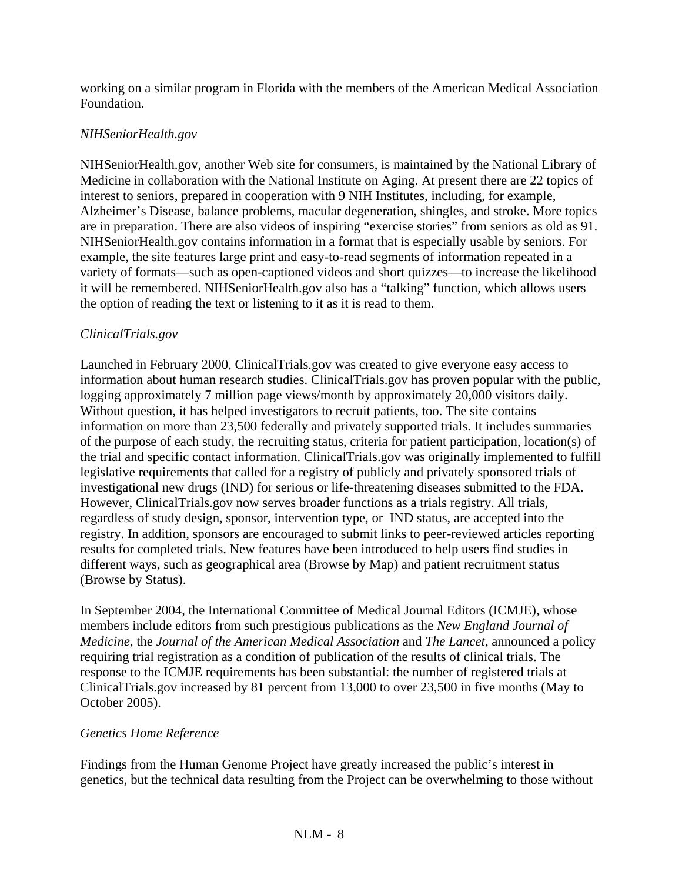working on a similar program in Florida with the members of the American Medical Association Foundation.

## *NIHSeniorHealth.gov*

NIHSeniorHealth.gov, another Web site for consumers, is maintained by the National Library of Medicine in collaboration with the National Institute on Aging. At present there are 22 topics of interest to seniors, prepared in cooperation with 9 NIH Institutes, including, for example, Alzheimer's Disease, balance problems, macular degeneration, shingles, and stroke. More topics are in preparation. There are also videos of inspiring "exercise stories" from seniors as old as 91. NIHSeniorHealth.gov contains information in a format that is especially usable by seniors. For example, the site features large print and easy-to-read segments of information repeated in a variety of formats—such as open-captioned videos and short quizzes—to increase the likelihood it will be remembered. NIHSeniorHealth.gov also has a "talking" function, which allows users the option of reading the text or listening to it as it is read to them.

## *ClinicalTrials.gov*

Launched in February 2000, ClinicalTrials.gov was created to give everyone easy access to information about human research studies. ClinicalTrials.gov has proven popular with the public, logging approximately 7 million page views/month by approximately 20,000 visitors daily. Without question, it has helped investigators to recruit patients, too. The site contains information on more than 23,500 federally and privately supported trials. It includes summaries of the purpose of each study, the recruiting status, criteria for patient participation, location(s) of the trial and specific contact information. ClinicalTrials.gov was originally implemented to fulfill legislative requirements that called for a registry of publicly and privately sponsored trials of investigational new drugs (IND) for serious or life-threatening diseases submitted to the FDA. However, ClinicalTrials.gov now serves broader functions as a trials registry. All trials, regardless of study design, sponsor, intervention type, or IND status, are accepted into the registry. In addition, sponsors are encouraged to submit links to peer-reviewed articles reporting results for completed trials. New features have been introduced to help users find studies in different ways, such as geographical area (Browse by Map) and patient recruitment status (Browse by Status).

In September 2004, the International Committee of Medical Journal Editors (ICMJE), whose members include editors from such prestigious publications as the *New England Journal of Medicine,* the *Journal of the American Medical Association* and *The Lancet*, announced a policy requiring trial registration as a condition of publication of the results of clinical trials. The response to the ICMJE requirements has been substantial: the number of registered trials at ClinicalTrials.gov increased by 81 percent from 13,000 to over 23,500 in five months (May to October 2005).

## *Genetics Home Reference*

Findings from the Human Genome Project have greatly increased the public's interest in genetics, but the technical data resulting from the Project can be overwhelming to those without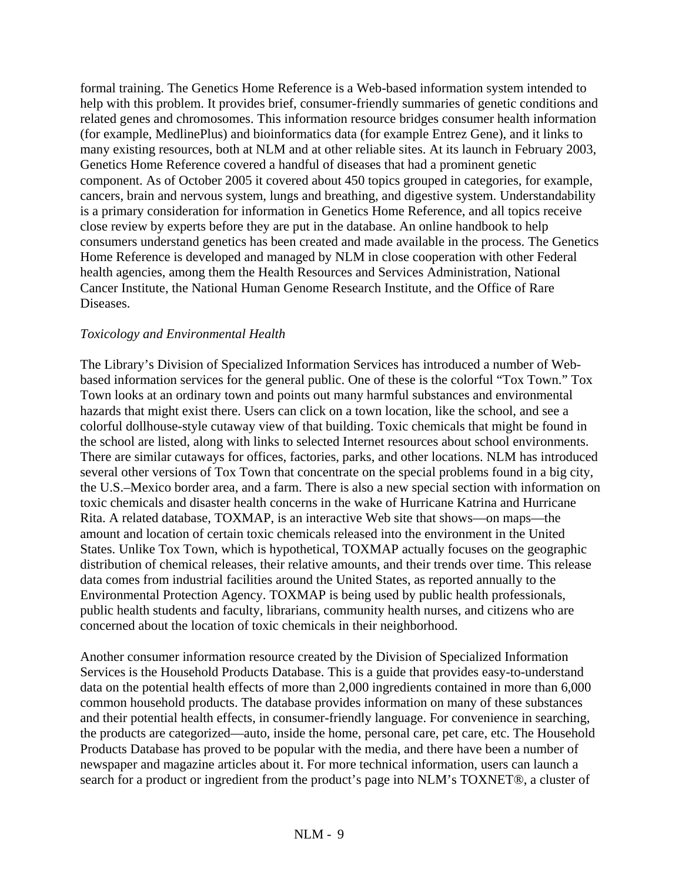formal training. The Genetics Home Reference is a Web-based information system intended to help with this problem. It provides brief, consumer-friendly summaries of genetic conditions and related genes and chromosomes. This information resource bridges consumer health information (for example, MedlinePlus) and bioinformatics data (for example Entrez Gene), and it links to many existing resources, both at NLM and at other reliable sites. At its launch in February 2003, Genetics Home Reference covered a handful of diseases that had a prominent genetic component. As of October 2005 it covered about 450 topics grouped in categories, for example, cancers, brain and nervous system, lungs and breathing, and digestive system. Understandability is a primary consideration for information in Genetics Home Reference, and all topics receive close review by experts before they are put in the database. An online handbook to help consumers understand genetics has been created and made available in the process. The Genetics Home Reference is developed and managed by NLM in close cooperation with other Federal health agencies, among them the Health Resources and Services Administration, National Cancer Institute, the National Human Genome Research Institute, and the Office of Rare Diseases.

### *Toxicology and Environmental Health*

The Library's Division of Specialized Information Services has introduced a number of Webbased information services for the general public. One of these is the colorful "Tox Town." Tox Town looks at an ordinary town and points out many harmful substances and environmental hazards that might exist there. Users can click on a town location, like the school, and see a colorful dollhouse-style cutaway view of that building. Toxic chemicals that might be found in the school are listed, along with links to selected Internet resources about school environments. There are similar cutaways for offices, factories, parks, and other locations. NLM has introduced several other versions of Tox Town that concentrate on the special problems found in a big city, the U.S.–Mexico border area, and a farm. There is also a new special section with information on toxic chemicals and disaster health concerns in the wake of Hurricane Katrina and Hurricane Rita. A related database, TOXMAP, is an interactive Web site that shows—on maps—the amount and location of certain toxic chemicals released into the environment in the United States. Unlike Tox Town, which is hypothetical, TOXMAP actually focuses on the geographic distribution of chemical releases, their relative amounts, and their trends over time. This release data comes from industrial facilities around the United States, as reported annually to the Environmental Protection Agency. TOXMAP is being used by public health professionals, public health students and faculty, librarians, community health nurses, and citizens who are concerned about the location of toxic chemicals in their neighborhood.

Another consumer information resource created by the Division of Specialized Information Services is the Household Products Database. This is a guide that provides easy-to-understand data on the potential health effects of more than 2,000 ingredients contained in more than 6,000 common household products. The database provides information on many of these substances and their potential health effects, in consumer-friendly language. For convenience in searching, the products are categorized—auto, inside the home, personal care, pet care, etc. The Household Products Database has proved to be popular with the media, and there have been a number of newspaper and magazine articles about it. For more technical information, users can launch a search for a product or ingredient from the product's page into NLM's TOXNET®, a cluster of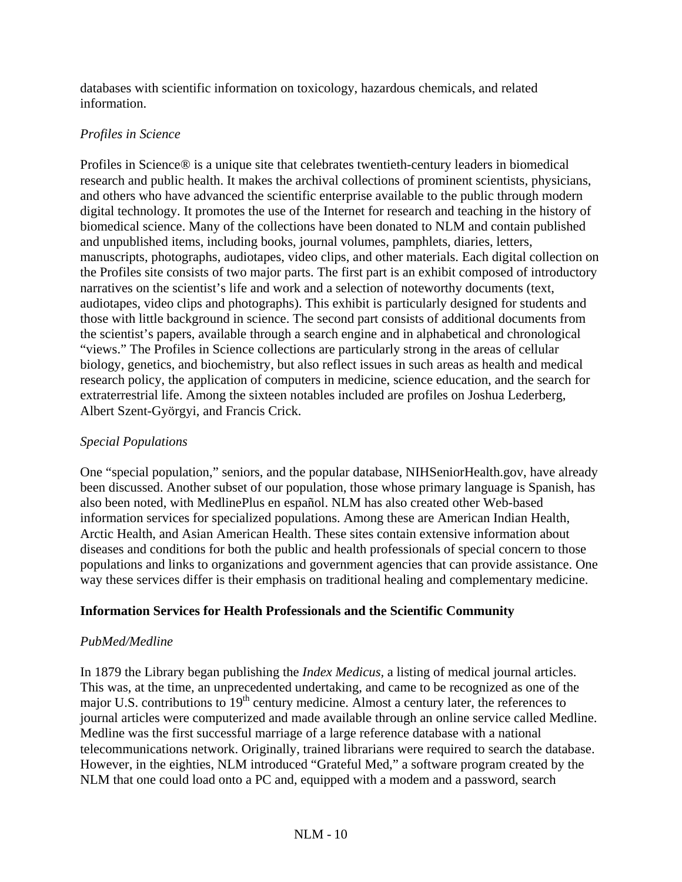databases with scientific information on toxicology, hazardous chemicals, and related information.

## *Profiles in Science*

Profiles in Science® is a unique site that celebrates twentieth-century leaders in biomedical research and public health. It makes the archival collections of prominent scientists, physicians, and others who have advanced the scientific enterprise available to the public through modern digital technology. It promotes the use of the Internet for research and teaching in the history of biomedical science. Many of the collections have been donated to NLM and contain published and unpublished items, including books, journal volumes, pamphlets, diaries, letters, manuscripts, photographs, audiotapes, video clips, and other materials. Each digital collection on the Profiles site consists of two major parts. The first part is an exhibit composed of introductory narratives on the scientist's life and work and a selection of noteworthy documents (text, audiotapes, video clips and photographs). This exhibit is particularly designed for students and those with little background in science. The second part consists of additional documents from the scientist's papers, available through a search engine and in alphabetical and chronological "views." The Profiles in Science collections are particularly strong in the areas of cellular biology, genetics, and biochemistry, but also reflect issues in such areas as health and medical research policy, the application of computers in medicine, science education, and the search for extraterrestrial life. Among the sixteen notables included are profiles on Joshua Lederberg, Albert Szent-Györgyi, and Francis Crick.

## *Special Populations*

One "special population," seniors, and the popular database, NIHSeniorHealth.gov, have already been discussed. Another subset of our population, those whose primary language is Spanish, has also been noted, with MedlinePlus en español. NLM has also created other Web-based information services for specialized populations. Among these are American Indian Health, Arctic Health, and Asian American Health. These sites contain extensive information about diseases and conditions for both the public and health professionals of special concern to those populations and links to organizations and government agencies that can provide assistance. One way these services differ is their emphasis on traditional healing and complementary medicine.

## **Information Services for Health Professionals and the Scientific Community**

## *PubMed/Medline*

In 1879 the Library began publishing the *Index Medicus,* a listing of medical journal articles. This was, at the time, an unprecedented undertaking, and came to be recognized as one of the major U.S. contributions to 19<sup>th</sup> century medicine. Almost a century later, the references to journal articles were computerized and made available through an online service called Medline. Medline was the first successful marriage of a large reference database with a national telecommunications network. Originally, trained librarians were required to search the database. However, in the eighties, NLM introduced "Grateful Med," a software program created by the NLM that one could load onto a PC and, equipped with a modem and a password, search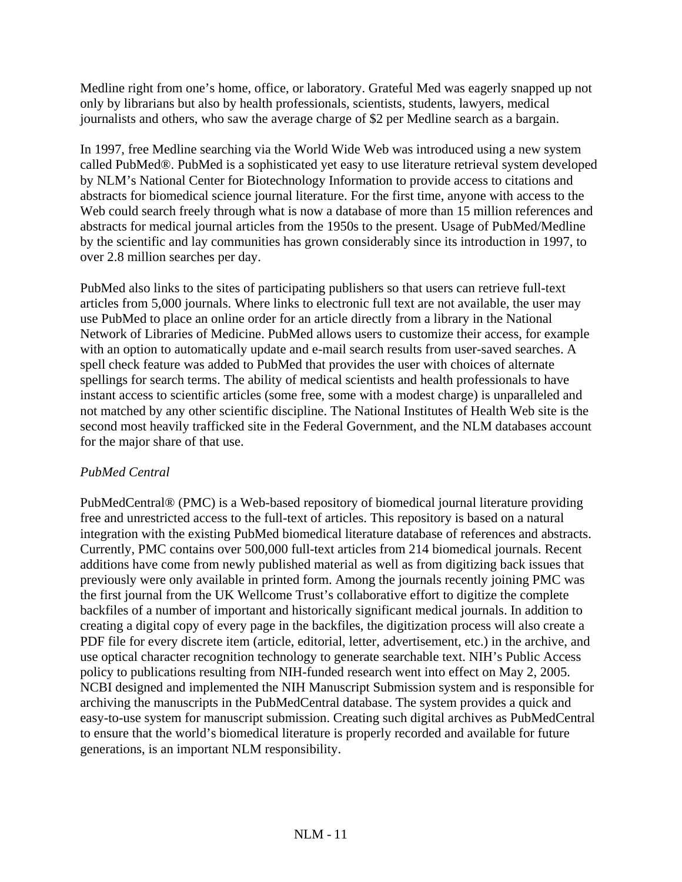Medline right from one's home, office, or laboratory. Grateful Med was eagerly snapped up not only by librarians but also by health professionals, scientists, students, lawyers, medical journalists and others, who saw the average charge of \$2 per Medline search as a bargain.

In 1997, free Medline searching via the World Wide Web was introduced using a new system called PubMed®. PubMed is a sophisticated yet easy to use literature retrieval system developed by NLM's National Center for Biotechnology Information to provide access to citations and abstracts for biomedical science journal literature. For the first time, anyone with access to the Web could search freely through what is now a database of more than 15 million references and abstracts for medical journal articles from the 1950s to the present. Usage of PubMed/Medline by the scientific and lay communities has grown considerably since its introduction in 1997, to over 2.8 million searches per day.

PubMed also links to the sites of participating publishers so that users can retrieve full-text articles from 5,000 journals. Where links to electronic full text are not available, the user may use PubMed to place an online order for an article directly from a library in the National Network of Libraries of Medicine. PubMed allows users to customize their access, for example with an option to automatically update and e-mail search results from user-saved searches. A spell check feature was added to PubMed that provides the user with choices of alternate spellings for search terms. The ability of medical scientists and health professionals to have instant access to scientific articles (some free, some with a modest charge) is unparalleled and not matched by any other scientific discipline. The National Institutes of Health Web site is the second most heavily trafficked site in the Federal Government, and the NLM databases account for the major share of that use.

## *PubMed Central*

PubMedCentral® (PMC) is a Web-based repository of biomedical journal literature providing free and unrestricted access to the full-text of articles. This repository is based on a natural integration with the existing PubMed biomedical literature database of references and abstracts. Currently, PMC contains over 500,000 full-text articles from 214 biomedical journals. Recent additions have come from newly published material as well as from digitizing back issues that previously were only available in printed form. Among the journals recently joining PMC was the first journal from the UK Wellcome Trust's collaborative effort to digitize the complete backfiles of a number of important and historically significant medical journals. In addition to creating a digital copy of every page in the backfiles, the digitization process will also create a PDF file for every discrete item (article, editorial, letter, advertisement, etc.) in the archive, and use optical character recognition technology to generate searchable text. NIH's Public Access policy to publications resulting from NIH-funded research went into effect on May 2, 2005. NCBI designed and implemented the NIH Manuscript Submission system and is responsible for archiving the manuscripts in the PubMedCentral database. The system provides a quick and easy-to-use system for manuscript submission. Creating such digital archives as PubMedCentral to ensure that the world's biomedical literature is properly recorded and available for future generations, is an important NLM responsibility.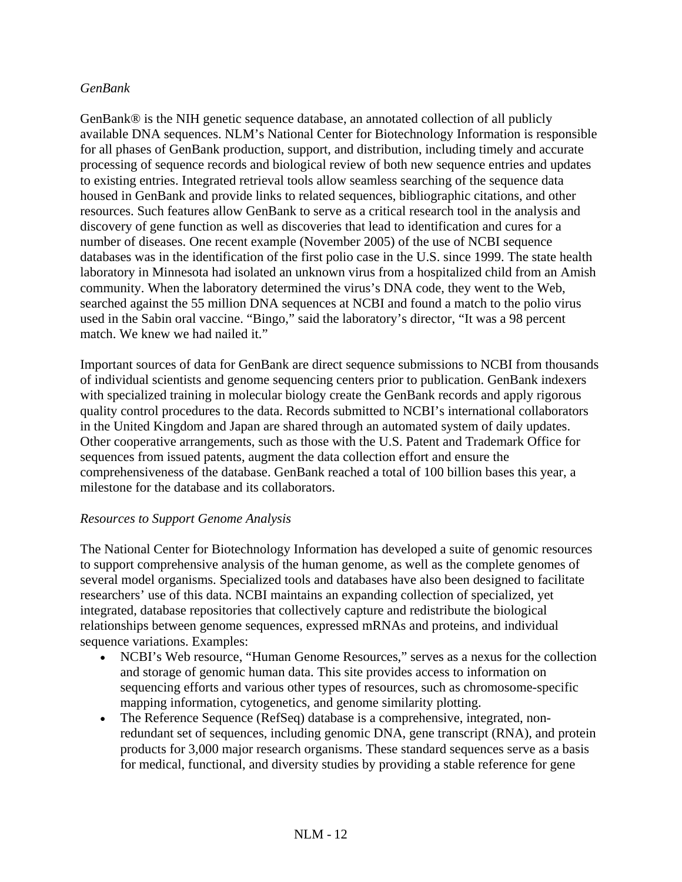### *GenBank*

GenBank® is the NIH genetic sequence database, an annotated collection of all publicly available DNA sequences. NLM's National Center for Biotechnology Information is responsible for all phases of GenBank production, support, and distribution, including timely and accurate processing of sequence records and biological review of both new sequence entries and updates to existing entries. Integrated retrieval tools allow seamless searching of the sequence data housed in GenBank and provide links to related sequences, bibliographic citations, and other resources. Such features allow GenBank to serve as a critical research tool in the analysis and discovery of gene function as well as discoveries that lead to identification and cures for a number of diseases. One recent example (November 2005) of the use of NCBI sequence databases was in the identification of the first polio case in the U.S. since 1999. The state health laboratory in Minnesota had isolated an unknown virus from a hospitalized child from an Amish community. When the laboratory determined the virus's DNA code, they went to the Web, searched against the 55 million DNA sequences at NCBI and found a match to the polio virus used in the Sabin oral vaccine. "Bingo," said the laboratory's director, "It was a 98 percent match. We knew we had nailed it."

Important sources of data for GenBank are direct sequence submissions to NCBI from thousands of individual scientists and genome sequencing centers prior to publication. GenBank indexers with specialized training in molecular biology create the GenBank records and apply rigorous quality control procedures to the data. Records submitted to NCBI's international collaborators in the United Kingdom and Japan are shared through an automated system of daily updates. Other cooperative arrangements, such as those with the U.S. Patent and Trademark Office for sequences from issued patents, augment the data collection effort and ensure the comprehensiveness of the database. GenBank reached a total of 100 billion bases this year, a milestone for the database and its collaborators.

### *Resources to Support Genome Analysis*

The National Center for Biotechnology Information has developed a suite of genomic resources to support comprehensive analysis of the human genome, as well as the complete genomes of several model organisms. Specialized tools and databases have also been designed to facilitate researchers' use of this data. NCBI maintains an expanding collection of specialized, yet integrated, database repositories that collectively capture and redistribute the biological relationships between genome sequences, expressed mRNAs and proteins, and individual sequence variations. Examples:

- NCBI's Web resource, "Human Genome Resources," serves as a nexus for the collection and storage of genomic human data. This site provides access to information on sequencing efforts and various other types of resources, such as chromosome-specific mapping information, cytogenetics, and genome similarity plotting.
- The Reference Sequence (RefSeq) database is a comprehensive, integrated, nonredundant set of sequences, including genomic DNA, gene transcript (RNA), and protein products for 3,000 major research organisms. These standard sequences serve as a basis for medical, functional, and diversity studies by providing a stable reference for gene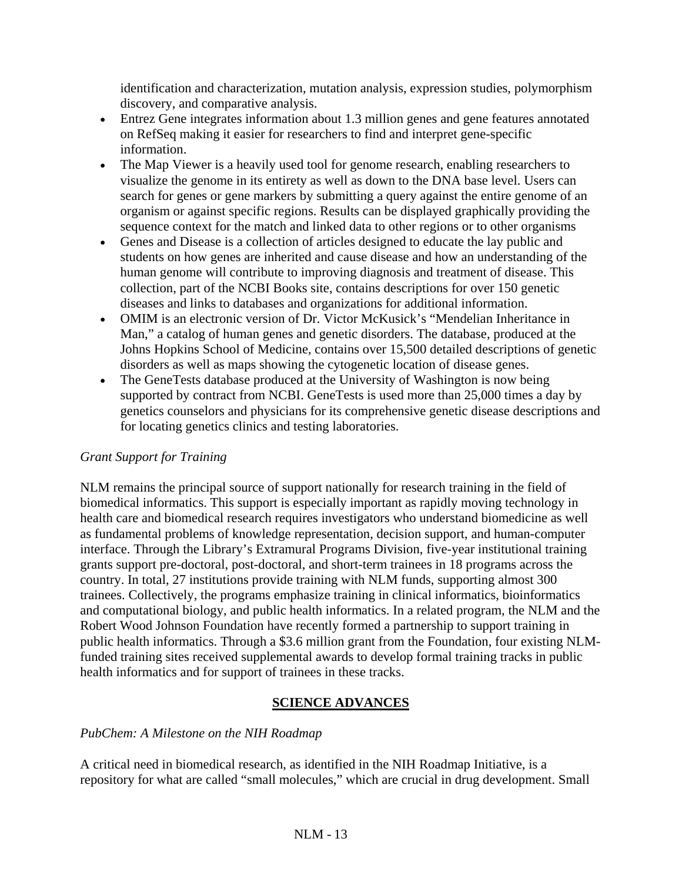identification and characterization, mutation analysis, expression studies, polymorphism discovery, and comparative analysis.

- Entrez Gene integrates information about 1.3 million genes and gene features annotated on RefSeq making it easier for researchers to find and interpret gene-specific information.
- The Map Viewer is a heavily used tool for genome research, enabling researchers to visualize the genome in its entirety as well as down to the DNA base level. Users can search for genes or gene markers by submitting a query against the entire genome of an organism or against specific regions. Results can be displayed graphically providing the sequence context for the match and linked data to other regions or to other organisms
- Genes and Disease is a collection of articles designed to educate the lay public and students on how genes are inherited and cause disease and how an understanding of the human genome will contribute to improving diagnosis and treatment of disease. This collection, part of the NCBI Books site, contains descriptions for over 150 genetic diseases and links to databases and organizations for additional information.
- OMIM is an electronic version of Dr. Victor McKusick's "Mendelian Inheritance in Man," a catalog of human genes and genetic disorders. The database, produced at the Johns Hopkins School of Medicine, contains over 15,500 detailed descriptions of genetic disorders as well as maps showing the cytogenetic location of disease genes.
- The GeneTests database produced at the University of Washington is now being supported by contract from NCBI. GeneTests is used more than 25,000 times a day by genetics counselors and physicians for its comprehensive genetic disease descriptions and for locating genetics clinics and testing laboratories.

## *Grant Support for Training*

NLM remains the principal source of support nationally for research training in the field of biomedical informatics. This support is especially important as rapidly moving technology in health care and biomedical research requires investigators who understand biomedicine as well as fundamental problems of knowledge representation, decision support, and human-computer interface. Through the Library's Extramural Programs Division, five-year institutional training grants support pre-doctoral, post-doctoral, and short-term trainees in 18 programs across the country. In total, 27 institutions provide training with NLM funds, supporting almost 300 trainees. Collectively, the programs emphasize training in clinical informatics, bioinformatics and computational biology, and public health informatics. In a related program, the NLM and the Robert Wood Johnson Foundation have recently formed a partnership to support training in public health informatics. Through a \$3.6 million grant from the Foundation, four existing NLMfunded training sites received supplemental awards to develop formal training tracks in public health informatics and for support of trainees in these tracks.

## **SCIENCE ADVANCES**

## *PubChem: A Milestone on the NIH Roadmap*

A critical need in biomedical research, as identified in the NIH Roadmap Initiative, is a repository for what are called "small molecules," which are crucial in drug development. Small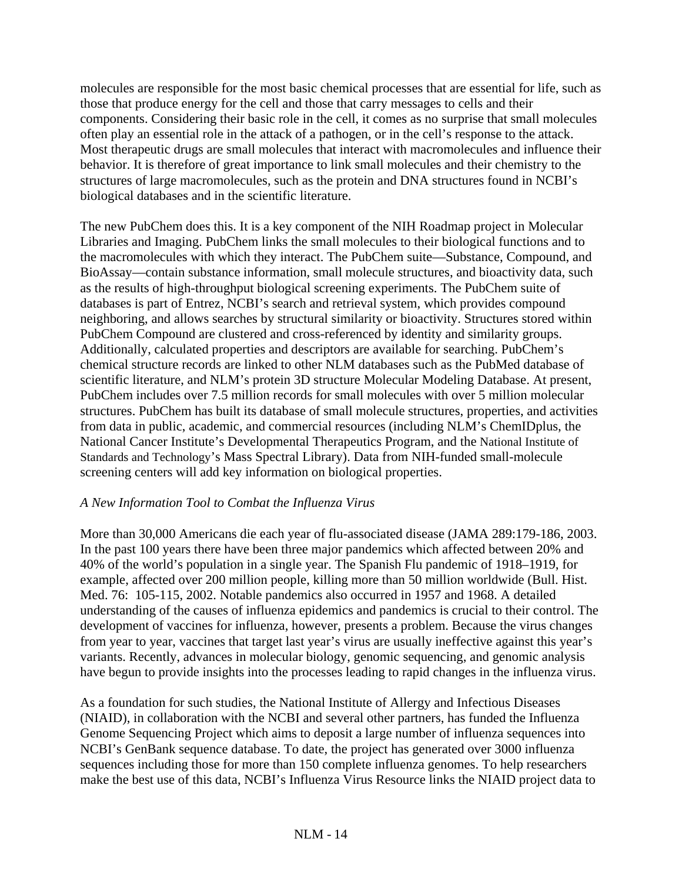molecules are responsible for the most basic chemical processes that are essential for life, such as those that produce energy for the cell and those that carry messages to cells and their components. Considering their basic role in the cell, it comes as no surprise that small molecules often play an essential role in the attack of a pathogen, or in the cell's response to the attack. Most therapeutic drugs are small molecules that interact with macromolecules and influence their behavior. It is therefore of great importance to link small molecules and their chemistry to the structures of large macromolecules, such as the protein and DNA structures found in NCBI's biological databases and in the scientific literature.

The new PubChem does this. It is a key component of the NIH Roadmap project in Molecular Libraries and Imaging. PubChem links the small molecules to their biological functions and to the macromolecules with which they interact. The PubChem suite—Substance, Compound, and BioAssay—contain substance information, small molecule structures, and bioactivity data, such as the results of high-throughput biological screening experiments. The PubChem suite of databases is part of Entrez, NCBI's search and retrieval system, which provides compound neighboring, and allows searches by structural similarity or bioactivity. Structures stored within PubChem Compound are clustered and cross-referenced by identity and similarity groups. Additionally, calculated properties and descriptors are available for searching. PubChem's chemical structure records are linked to other NLM databases such as the PubMed database of scientific literature, and NLM's protein 3D structure Molecular Modeling Database. At present, PubChem includes over 7.5 million records for small molecules with over 5 million molecular structures. PubChem has built its database of small molecule structures, properties, and activities from data in public, academic, and commercial resources (including NLM's ChemIDplus, the National Cancer Institute's Developmental Therapeutics Program, and the National Institute of Standards and Technology's Mass Spectral Library). Data from NIH-funded small-molecule screening centers will add key information on biological properties.

## *A New Information Tool to Combat the Influenza Virus*

More than 30,000 Americans die each year of flu-associated disease (JAMA 289:179-186, 2003. In the past 100 years there have been three major pandemics which affected between 20% and 40% of the world's population in a single year. The Spanish Flu pandemic of 1918–1919, for example, affected over 200 million people, killing more than 50 million worldwide (Bull. Hist. Med. 76: 105-115, 2002. Notable pandemics also occurred in 1957 and 1968. A detailed understanding of the causes of influenza epidemics and pandemics is crucial to their control. The development of vaccines for influenza, however, presents a problem. Because the virus changes from year to year, vaccines that target last year's virus are usually ineffective against this year's variants. Recently, advances in molecular biology, genomic sequencing, and genomic analysis have begun to provide insights into the processes leading to rapid changes in the influenza virus.

As a foundation for such studies, the National Institute of Allergy and Infectious Diseases (NIAID), in collaboration with the NCBI and several other partners, has funded the Influenza Genome Sequencing Project which aims to deposit a large number of influenza sequences into NCBI's GenBank sequence database. To date, the project has generated over 3000 influenza sequences including those for more than 150 complete influenza genomes. To help researchers make the best use of this data, NCBI's Influenza Virus Resource links the NIAID project data to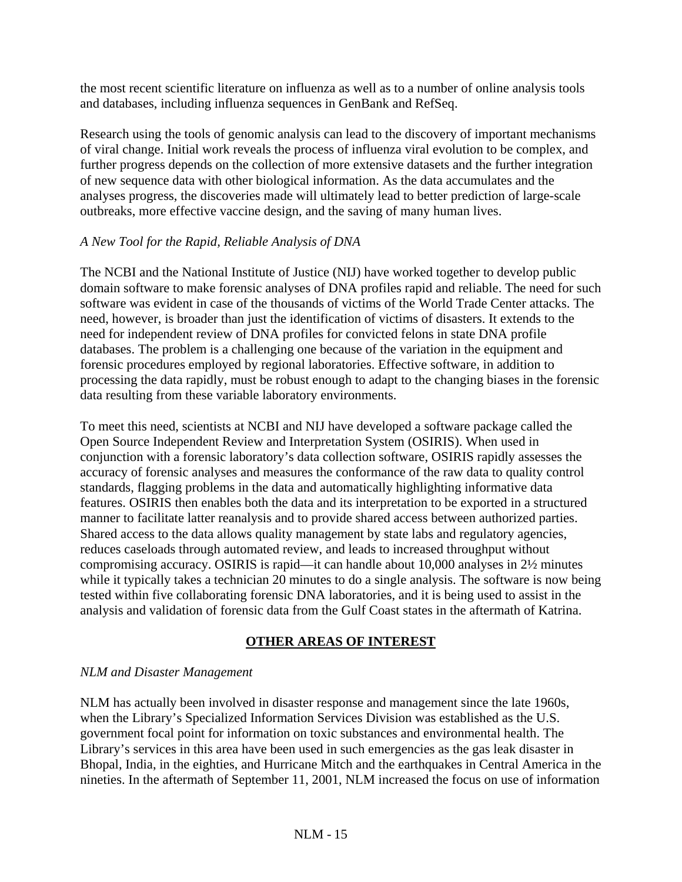the most recent scientific literature on influenza as well as to a number of online analysis tools and databases, including influenza sequences in GenBank and RefSeq.

Research using the tools of genomic analysis can lead to the discovery of important mechanisms of viral change. Initial work reveals the process of influenza viral evolution to be complex, and further progress depends on the collection of more extensive datasets and the further integration of new sequence data with other biological information. As the data accumulates and the analyses progress, the discoveries made will ultimately lead to better prediction of large-scale outbreaks, more effective vaccine design, and the saving of many human lives.

## *A New Tool for the Rapid, Reliable Analysis of DNA*

The NCBI and the National Institute of Justice (NIJ) have worked together to develop public domain software to make forensic analyses of DNA profiles rapid and reliable. The need for such software was evident in case of the thousands of victims of the World Trade Center attacks. The need, however, is broader than just the identification of victims of disasters. It extends to the need for independent review of DNA profiles for convicted felons in state DNA profile databases. The problem is a challenging one because of the variation in the equipment and forensic procedures employed by regional laboratories. Effective software, in addition to processing the data rapidly, must be robust enough to adapt to the changing biases in the forensic data resulting from these variable laboratory environments.

To meet this need, scientists at NCBI and NIJ have developed a software package called the Open Source Independent Review and Interpretation System (OSIRIS). When used in conjunction with a forensic laboratory's data collection software, OSIRIS rapidly assesses the accuracy of forensic analyses and measures the conformance of the raw data to quality control standards, flagging problems in the data and automatically highlighting informative data features. OSIRIS then enables both the data and its interpretation to be exported in a structured manner to facilitate latter reanalysis and to provide shared access between authorized parties. Shared access to the data allows quality management by state labs and regulatory agencies, reduces caseloads through automated review, and leads to increased throughput without compromising accuracy. OSIRIS is rapid—it can handle about 10,000 analyses in 2½ minutes while it typically takes a technician 20 minutes to do a single analysis. The software is now being tested within five collaborating forensic DNA laboratories, and it is being used to assist in the analysis and validation of forensic data from the Gulf Coast states in the aftermath of Katrina.

## **OTHER AREAS OF INTEREST**

## *NLM and Disaster Management*

NLM has actually been involved in disaster response and management since the late 1960s, when the Library's Specialized Information Services Division was established as the U.S. government focal point for information on toxic substances and environmental health. The Library's services in this area have been used in such emergencies as the gas leak disaster in Bhopal, India, in the eighties, and Hurricane Mitch and the earthquakes in Central America in the nineties. In the aftermath of September 11, 2001, NLM increased the focus on use of information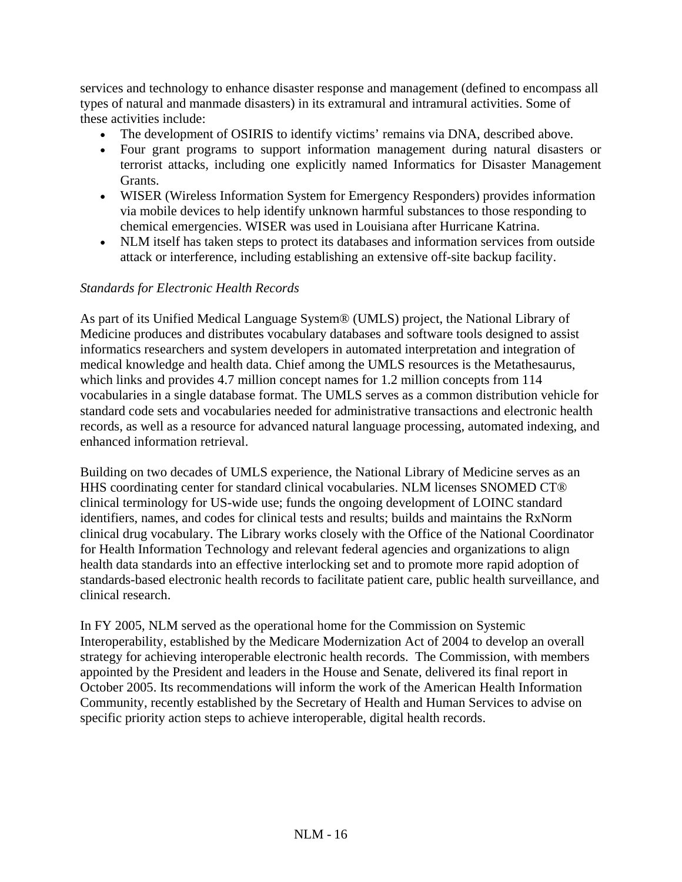services and technology to enhance disaster response and management (defined to encompass all types of natural and manmade disasters) in its extramural and intramural activities. Some of these activities include:

- The development of OSIRIS to identify victims' remains via DNA, described above.
- Four grant programs to support information management during natural disasters or terrorist attacks, including one explicitly named Informatics for Disaster Management Grants.
- WISER (Wireless Information System for Emergency Responders) provides information via mobile devices to help identify unknown harmful substances to those responding to chemical emergencies. WISER was used in Louisiana after Hurricane Katrina.
- NLM itself has taken steps to protect its databases and information services from outside attack or interference, including establishing an extensive off-site backup facility.

## *Standards for Electronic Health Records*

As part of its Unified Medical Language System® (UMLS) project, the National Library of Medicine produces and distributes vocabulary databases and software tools designed to assist informatics researchers and system developers in automated interpretation and integration of medical knowledge and health data. Chief among the UMLS resources is the Metathesaurus, which links and provides 4.7 million concept names for 1.2 million concepts from 114 vocabularies in a single database format. The UMLS serves as a common distribution vehicle for standard code sets and vocabularies needed for administrative transactions and electronic health records, as well as a resource for advanced natural language processing, automated indexing, and enhanced information retrieval.

Building on two decades of UMLS experience, the National Library of Medicine serves as an HHS coordinating center for standard clinical vocabularies. NLM licenses SNOMED CT® clinical terminology for US-wide use; funds the ongoing development of LOINC standard identifiers, names, and codes for clinical tests and results; builds and maintains the RxNorm clinical drug vocabulary. The Library works closely with the Office of the National Coordinator for Health Information Technology and relevant federal agencies and organizations to align health data standards into an effective interlocking set and to promote more rapid adoption of standards-based electronic health records to facilitate patient care, public health surveillance, and clinical research.

In FY 2005, NLM served as the operational home for the Commission on Systemic Interoperability, established by the Medicare Modernization Act of 2004 to develop an overall strategy for achieving interoperable electronic health records. The Commission, with members appointed by the President and leaders in the House and Senate, delivered its final report in October 2005. Its recommendations will inform the work of the American Health Information Community, recently established by the Secretary of Health and Human Services to advise on specific priority action steps to achieve interoperable, digital health records.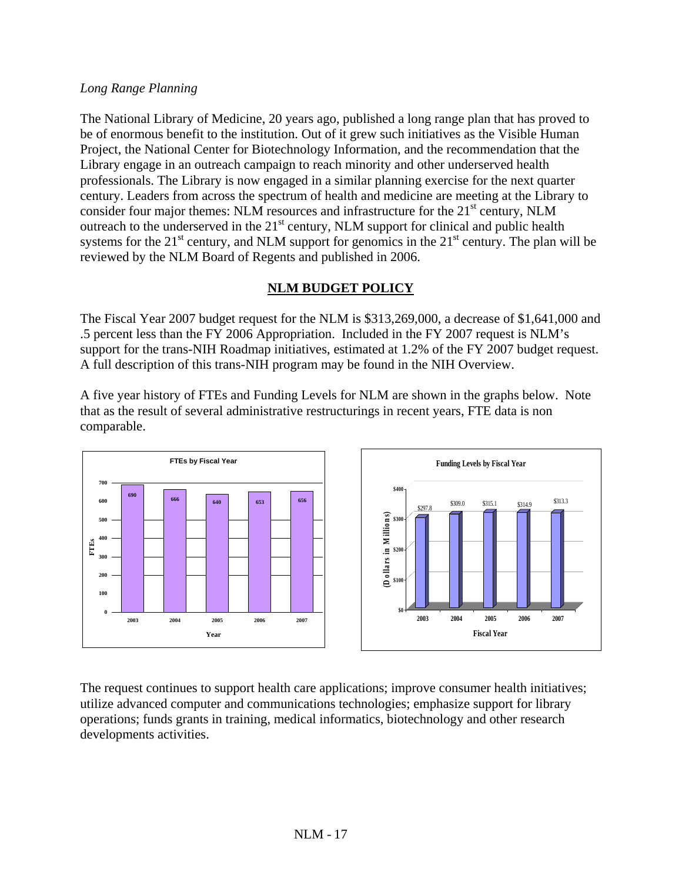### *Long Range Planning*

The National Library of Medicine, 20 years ago, published a long range plan that has proved to be of enormous benefit to the institution. Out of it grew such initiatives as the Visible Human Project, the National Center for Biotechnology Information, and the recommendation that the Library engage in an outreach campaign to reach minority and other underserved health professionals. The Library is now engaged in a similar planning exercise for the next quarter century. Leaders from across the spectrum of health and medicine are meeting at the Library to consider four major themes: NLM resources and infrastructure for the  $21<sup>st</sup>$  century, NLM outreach to the underserved in the  $21<sup>st</sup>$  century, NLM support for clinical and public health systems for the  $21<sup>st</sup>$  century, and NLM support for genomics in the  $21<sup>st</sup>$  century. The plan will be reviewed by the NLM Board of Regents and published in 2006.

## **NLM BUDGET POLICY**

The Fiscal Year 2007 budget request for the NLM is \$313,269,000, a decrease of \$1,641,000 and .5 percent less than the FY 2006 Appropriation. Included in the FY 2007 request is NLM's support for the trans-NIH Roadmap initiatives, estimated at 1.2% of the FY 2007 budget request. A full description of this trans-NIH program may be found in the NIH Overview.

A five year history of FTEs and Funding Levels for NLM are shown in the graphs below. Note that as the result of several administrative restructurings in recent years, FTE data is non comparable.



The request continues to support health care applications; improve consumer health initiatives; utilize advanced computer and communications technologies; emphasize support for library operations; funds grants in training, medical informatics, biotechnology and other research developments activities.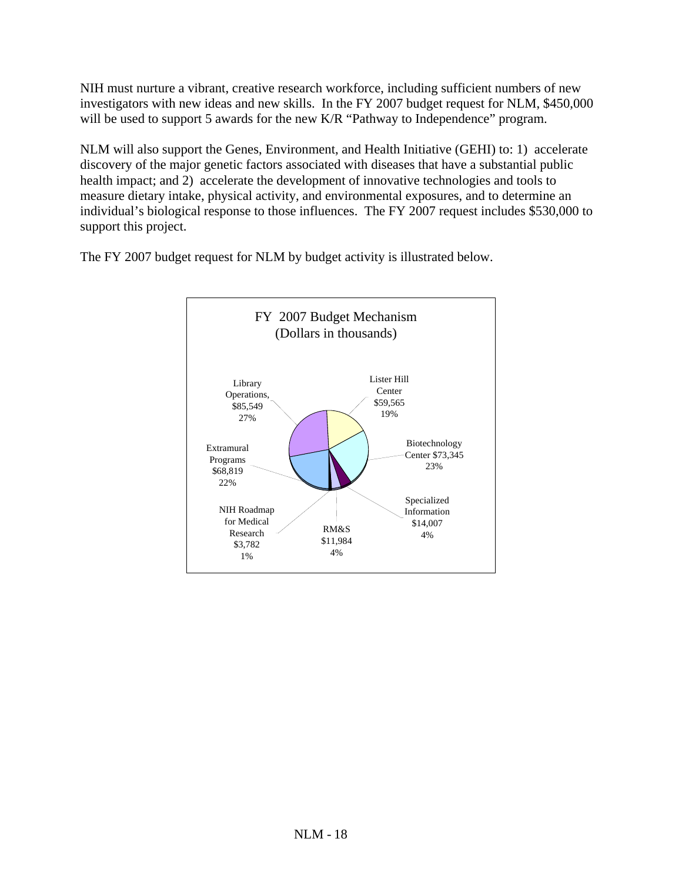NIH must nurture a vibrant, creative research workforce, including sufficient numbers of new investigators with new ideas and new skills. In the FY 2007 budget request for NLM, \$450,000 will be used to support 5 awards for the new K/R "Pathway to Independence" program.

NLM will also support the Genes, Environment, and Health Initiative (GEHI) to: 1) accelerate discovery of the major genetic factors associated with diseases that have a substantial public health impact; and 2) accelerate the development of innovative technologies and tools to measure dietary intake, physical activity, and environmental exposures, and to determine an individual's biological response to those influences. The FY 2007 request includes \$530,000 to support this project.

The FY 2007 budget request for NLM by budget activity is illustrated below.

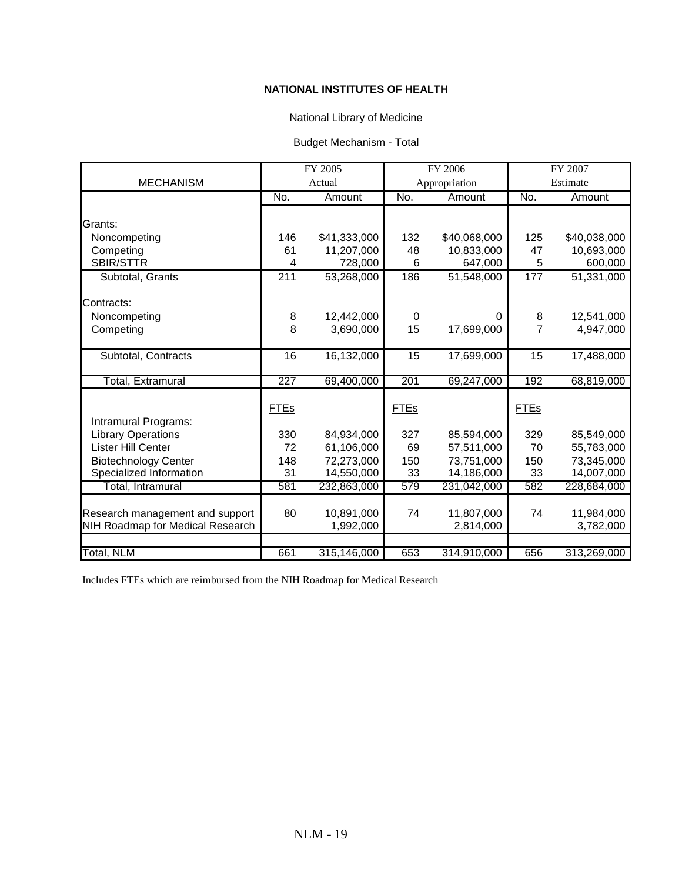#### **NATIONAL INSTITUTES OF HEALTH**

### National Library of Medicine

#### Budget Mechanism - Total

|                                  | FY 2005     |              | <b>FY 2006</b>  |              | FY 2007         |                         |
|----------------------------------|-------------|--------------|-----------------|--------------|-----------------|-------------------------|
| <b>MECHANISM</b>                 |             | Actual       | Appropriation   |              |                 | Estimate                |
|                                  | No.         | Amount       | No.             | Amount       | No.             | Amount                  |
|                                  |             |              |                 |              |                 |                         |
| Grants:                          |             |              |                 |              |                 |                         |
| Noncompeting                     | 146         | \$41,333,000 | 132             | \$40,068,000 | 125             | \$40,038,000            |
| Competing                        | 61          | 11,207,000   | 48              | 10,833,000   | 47              | 10,693,000              |
| SBIR/STTR                        | 4           | 728,000      | 6               | 647,000      | 5               | 600,000                 |
| Subtotal, Grants                 | 211         | 53,268,000   | 186             | 51,548,000   | 177             | $\overline{51,331,000}$ |
|                                  |             |              |                 |              |                 |                         |
| Contracts:                       |             |              |                 |              |                 |                         |
| Noncompeting                     | 8           | 12,442,000   | $\Omega$        | U            | 8               | 12,541,000              |
| Competing                        | 8           | 3,690,000    | 15              | 17,699,000   | 7               | 4,947,000               |
|                                  |             |              |                 |              |                 |                         |
| Subtotal, Contracts              | 16          | 16,132,000   | $\overline{15}$ | 17,699,000   | $\overline{15}$ | 17,488,000              |
|                                  |             |              |                 |              |                 |                         |
| <b>Total, Extramural</b>         | 227         | 69,400,000   | 201             | 69,247,000   | 192             | 68,819,000              |
|                                  |             |              |                 |              |                 |                         |
|                                  | <b>FTEs</b> |              | <b>FTEs</b>     |              | <b>FTEs</b>     |                         |
| Intramural Programs:             |             |              |                 |              |                 |                         |
| <b>Library Operations</b>        | 330         | 84,934,000   | 327             | 85,594,000   | 329             | 85,549,000              |
| Lister Hill Center               | 72          | 61,106,000   | 69              | 57,511,000   | 70              | 55,783,000              |
| <b>Biotechnology Center</b>      | 148         | 72,273,000   | 150             | 73,751,000   | 150             | 73,345,000              |
| Specialized Information          | 31          | 14,550,000   | 33              | 14,186,000   | 33              | 14,007,000              |
| Total, Intramural                | 581         | 232,863,000  | 579             | 231,042,000  | 582             | 228,684,000             |
|                                  |             |              |                 |              |                 |                         |
| Research management and support  | 80          | 10,891,000   | 74              | 11,807,000   | 74              | 11,984,000              |
| NIH Roadmap for Medical Research |             | 1,992,000    |                 | 2,814,000    |                 | 3,782,000               |
|                                  |             |              |                 |              |                 |                         |
| Total, NLM                       | 661         | 315,146,000  | 653             | 314,910,000  | 656             | 313,269,000             |

Includes FTEs which are reimbursed from the NIH Roadmap for Medical Research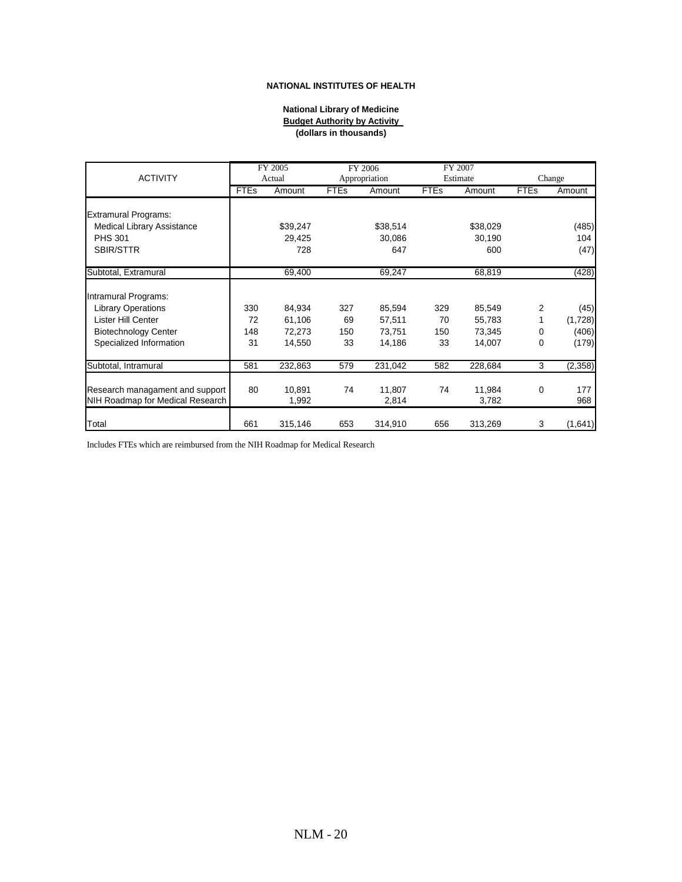#### **NATIONAL INSTITUTES OF HEALTH**

#### **National Library of Medicine Budget Authority by Activity (dollars in thousands)**

|                                  |             | FY 2005  |               | FY 2006  |             | FY 2007  |             |          |
|----------------------------------|-------------|----------|---------------|----------|-------------|----------|-------------|----------|
| <b>ACTIVITY</b>                  | Actual      |          | Appropriation |          | Estimate    |          | Change      |          |
|                                  | <b>FTEs</b> | Amount   | <b>FTEs</b>   | Amount   | <b>FTEs</b> | Amount   | <b>FTEs</b> | Amount   |
|                                  |             |          |               |          |             |          |             |          |
| <b>Extramural Programs:</b>      |             |          |               |          |             |          |             |          |
| Medical Library Assistance       |             | \$39,247 |               | \$38,514 |             | \$38,029 |             | (485)    |
| <b>PHS 301</b>                   |             | 29,425   |               | 30,086   |             | 30,190   |             | 104      |
| <b>SBIR/STTR</b>                 |             | 728      |               | 647      |             | 600      |             | (47)     |
| Subtotal, Extramural             |             | 69,400   |               | 69,247   |             | 68,819   |             | (428)    |
|                                  |             |          |               |          |             |          |             |          |
| Intramural Programs:             |             |          |               |          |             |          |             |          |
| <b>Library Operations</b>        | 330         | 84,934   | 327           | 85,594   | 329         | 85,549   | 2           | (45)     |
| Lister Hill Center               | 72          | 61,106   | 69            | 57,511   | 70          | 55,783   |             | (1,728)  |
| <b>Biotechnology Center</b>      | 148         | 72,273   | 150           | 73,751   | 150         | 73,345   | 0           | (406)    |
| Specialized Information          | 31          | 14,550   | 33            | 14,186   | 33          | 14,007   | 0           | (179)    |
| Subtotal, Intramural             | 581         | 232,863  | 579           | 231,042  | 582         | 228,684  | 3           | (2, 358) |
|                                  |             |          |               |          |             |          |             |          |
| Research managament and support  | 80          | 10,891   | 74            | 11,807   | 74          | 11,984   | 0           | 177      |
| NIH Roadmap for Medical Research |             | 1,992    |               | 2,814    |             | 3,782    |             | 968      |
| Total                            | 661         | 315,146  | 653           | 314,910  | 656         | 313,269  | 3           | (1,641)  |

Includes FTEs which are reimbursed from the NIH Roadmap for Medical Research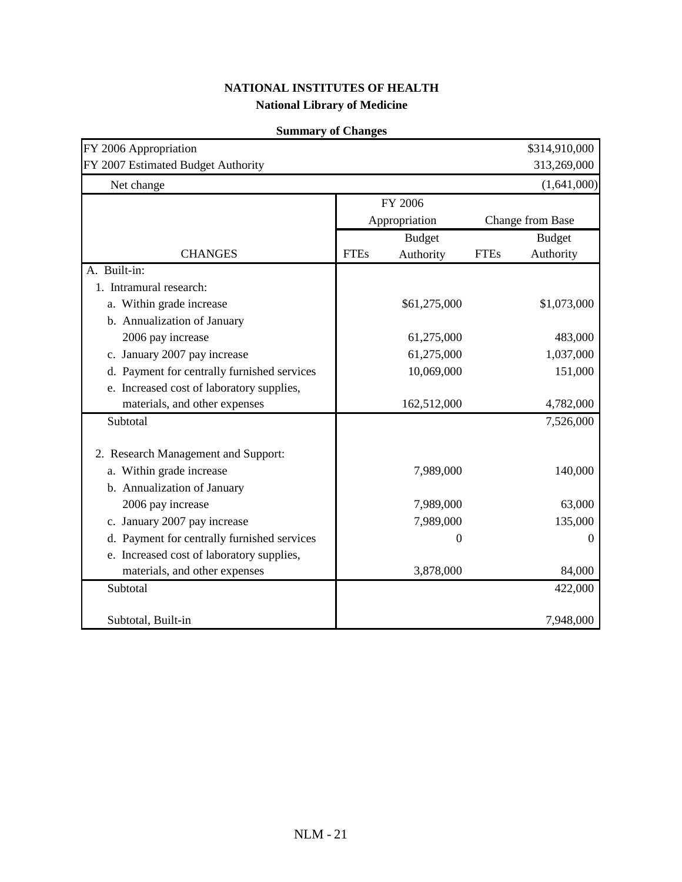| FY 2006 Appropriation<br>FY 2007 Estimated Budget Authority |             |               |             | \$314,910,000<br>313,269,000 |
|-------------------------------------------------------------|-------------|---------------|-------------|------------------------------|
| Net change                                                  |             |               |             | (1,641,000)                  |
|                                                             |             | FY 2006       |             |                              |
|                                                             |             | Appropriation |             | Change from Base             |
|                                                             |             | <b>Budget</b> |             | <b>Budget</b>                |
| <b>CHANGES</b>                                              | <b>FTEs</b> | Authority     | <b>FTEs</b> | Authority                    |
| A. Built-in:                                                |             |               |             |                              |
| 1. Intramural research:                                     |             |               |             |                              |
| a. Within grade increase                                    |             | \$61,275,000  |             | \$1,073,000                  |
| b. Annualization of January                                 |             |               |             |                              |
| 2006 pay increase                                           |             | 61,275,000    |             | 483,000                      |
| c. January 2007 pay increase                                |             | 61,275,000    |             | 1,037,000                    |
| d. Payment for centrally furnished services                 |             | 10,069,000    |             | 151,000                      |
| e. Increased cost of laboratory supplies,                   |             |               |             |                              |
| materials, and other expenses                               |             | 162,512,000   |             | 4,782,000                    |
| Subtotal                                                    |             |               |             | 7,526,000                    |
|                                                             |             |               |             |                              |
| 2. Research Management and Support:                         |             |               |             |                              |
| a. Within grade increase                                    |             | 7,989,000     |             | 140,000                      |
| b. Annualization of January                                 |             |               |             |                              |
| 2006 pay increase                                           |             | 7,989,000     |             | 63,000                       |
| c. January 2007 pay increase                                |             | 7,989,000     |             | 135,000                      |
| d. Payment for centrally furnished services                 |             | 0             |             | 0                            |
| e. Increased cost of laboratory supplies,                   |             |               |             |                              |
| materials, and other expenses                               |             | 3,878,000     |             | 84,000                       |
| Subtotal                                                    |             |               |             | 422,000                      |
| Subtotal, Built-in                                          |             |               |             | 7,948,000                    |

### **Summary of Changes**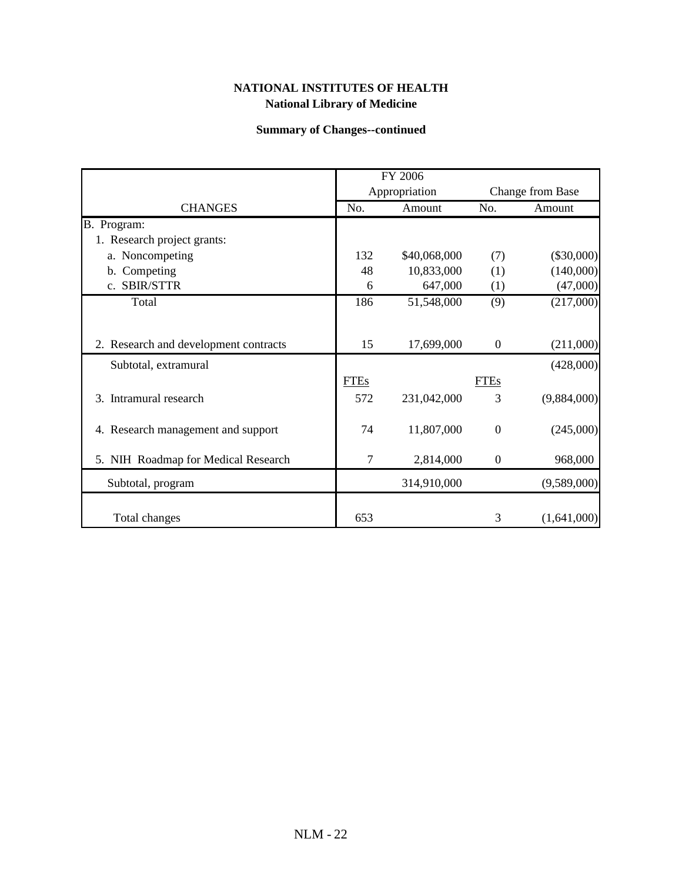## **Summary of Changes--continued**

|                                       |             | FY 2006       |                  |                  |
|---------------------------------------|-------------|---------------|------------------|------------------|
|                                       |             | Appropriation |                  | Change from Base |
| <b>CHANGES</b>                        | No.         | Amount        | No.              | Amount           |
| B. Program:                           |             |               |                  |                  |
| 1. Research project grants:           |             |               |                  |                  |
| a. Noncompeting                       | 132         | \$40,068,000  | (7)              | $(\$30,000)$     |
| b. Competing                          | 48          | 10,833,000    | (1)              | (140,000)        |
| c. SBIR/STTR                          | 6           | 647,000       | (1)              | (47,000)         |
| Total                                 | 186         | 51,548,000    | (9)              | (217,000)        |
|                                       |             |               |                  |                  |
| 2. Research and development contracts | 15          | 17,699,000    | $\mathbf{0}$     | (211,000)        |
| Subtotal, extramural                  |             |               |                  | (428,000)        |
|                                       | <b>FTEs</b> |               | <b>FTEs</b>      |                  |
| 3. Intramural research                | 572         | 231,042,000   | 3                | (9,884,000)      |
|                                       |             |               |                  |                  |
| 4. Research management and support    | 74          | 11,807,000    | $\mathbf{0}$     | (245,000)        |
| 5. NIH Roadmap for Medical Research   | 7           | 2,814,000     | $\boldsymbol{0}$ | 968,000          |
|                                       |             |               |                  |                  |
| Subtotal, program                     |             | 314,910,000   |                  | (9,589,000)      |
|                                       |             |               |                  |                  |
| Total changes                         | 653         |               | 3                | (1,641,000)      |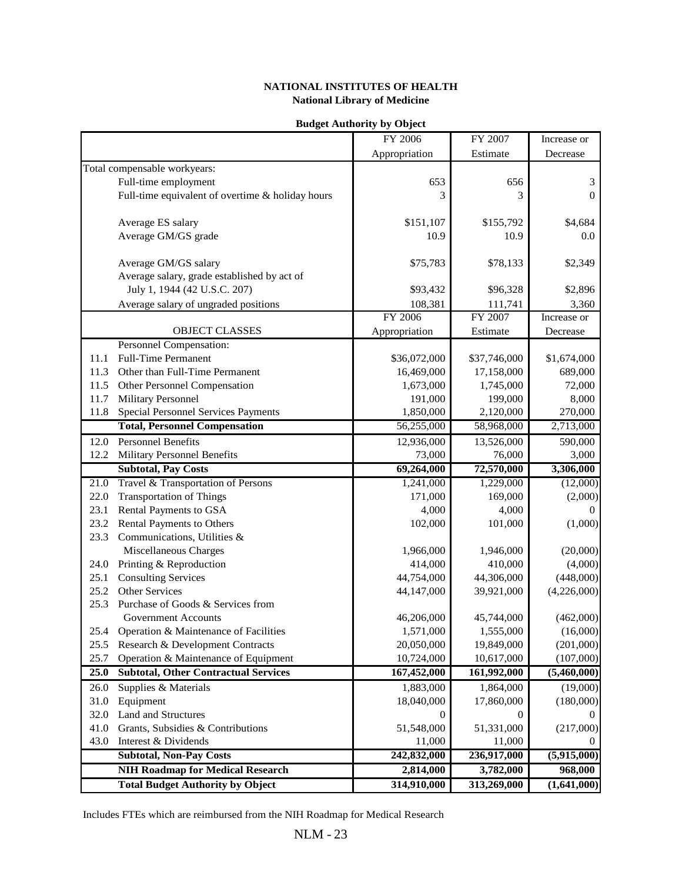|      |                                                                                    | FY 2006                  | FY 2007      | Increase or    |
|------|------------------------------------------------------------------------------------|--------------------------|--------------|----------------|
|      |                                                                                    | Appropriation            | Estimate     | Decrease       |
|      | Total compensable workyears:                                                       |                          |              |                |
|      | Full-time employment                                                               | 653                      | 656          | $\mathfrak{Z}$ |
|      | Full-time equivalent of overtime & holiday hours                                   | 3                        | 3            | $\mathbf{0}$   |
|      |                                                                                    |                          |              |                |
|      |                                                                                    |                          |              |                |
|      | Average ES salary                                                                  | \$151,107                | \$155,792    | \$4,684        |
|      | Average GM/GS grade                                                                | 10.9                     | 10.9         | 0.0            |
|      |                                                                                    |                          |              |                |
|      | Average GM/GS salary                                                               | \$75,783                 | \$78,133     | \$2,349        |
|      | Average salary, grade established by act of                                        |                          |              |                |
|      | July 1, 1944 (42 U.S.C. 207)                                                       | \$93,432                 | \$96,328     | \$2,896        |
|      | Average salary of ungraded positions                                               | 108,381                  | 111,741      | 3,360          |
|      |                                                                                    | FY 2006                  | FY 2007      | Increase or    |
|      | <b>OBJECT CLASSES</b>                                                              | Appropriation            | Estimate     | Decrease       |
|      | <b>Personnel Compensation:</b>                                                     |                          |              |                |
| 11.1 | <b>Full-Time Permanent</b>                                                         | \$36,072,000             | \$37,746,000 | \$1,674,000    |
| 11.3 | Other than Full-Time Permanent                                                     | 16,469,000               | 17,158,000   | 689,000        |
| 11.5 | Other Personnel Compensation                                                       | 1,673,000                | 1,745,000    | 72,000         |
| 11.7 | Military Personnel                                                                 | 191,000                  | 199,000      | 8,000          |
| 11.8 | <b>Special Personnel Services Payments</b>                                         | 1,850,000                | 2,120,000    | 270,000        |
|      | <b>Total, Personnel Compensation</b>                                               | 56,255,000               | 58,968,000   | 2,713,000      |
| 12.0 | <b>Personnel Benefits</b>                                                          | 12,936,000               | 13,526,000   | 590,000        |
| 12.2 | <b>Military Personnel Benefits</b>                                                 | 73,000                   | 76,000       | 3,000          |
|      | <b>Subtotal, Pay Costs</b>                                                         | 69,264,000               | 72,570,000   | 3,306,000      |
|      |                                                                                    |                          |              |                |
| 21.0 | Travel & Transportation of Persons                                                 | 1,241,000                | 1,229,000    | (12,000)       |
| 22.0 | <b>Transportation of Things</b>                                                    | 171,000                  | 169,000      | (2,000)        |
| 23.1 | Rental Payments to GSA                                                             | 4,000                    | 4,000        | $\Omega$       |
| 23.2 | Rental Payments to Others                                                          | 102,000                  | 101,000      | (1,000)        |
| 23.3 | Communications, Utilities &                                                        |                          |              |                |
|      | Miscellaneous Charges                                                              | 1,966,000                | 1,946,000    | (20,000)       |
| 24.0 | Printing & Reproduction                                                            | 414,000                  | 410,000      | (4,000)        |
| 25.1 | <b>Consulting Services</b>                                                         | 44,754,000               | 44,306,000   | (448,000)      |
| 25.2 | Other Services                                                                     | 44,147,000               | 39,921,000   | (4,226,000)    |
| 25.3 | Purchase of Goods & Services from                                                  |                          |              |                |
|      | <b>Government Accounts</b>                                                         | 46,206,000               | 45,744,000   | (462,000)      |
| 25.4 | Operation & Maintenance of Facilities                                              | 1,571,000                | 1,555,000    | (16,000)       |
| 25.5 | Research & Development Contracts                                                   | 20,050,000               | 19,849,000   | (201,000)      |
| 25.7 | Operation & Maintenance of Equipment                                               | 10,724,000               | 10,617,000   | (107,000)      |
| 25.0 | <b>Subtotal, Other Contractual Services</b>                                        | 167,452,000              | 161,992,000  | (5,460,000)    |
| 26.0 | Supplies & Materials                                                               | 1,883,000                | 1,864,000    | (19,000)       |
| 31.0 | Equipment                                                                          | 18,040,000               | 17,860,000   | (180,000)      |
| 32.0 | Land and Structures                                                                | 0                        | 0            |                |
| 41.0 | Grants, Subsidies & Contributions                                                  | 51,548,000               | 51,331,000   | (217,000)      |
| 43.0 | Interest & Dividends                                                               | 11,000                   | 11,000       |                |
|      | <b>Subtotal, Non-Pay Costs</b>                                                     | 242,832,000              | 236,917,000  | (5,915,000)    |
|      |                                                                                    |                          |              |                |
|      | <b>NIH Roadmap for Medical Research</b><br><b>Total Budget Authority by Object</b> | 2,814,000<br>314,910,000 | 3,782,000    | 968,000        |
|      |                                                                                    |                          | 313,269,000  | (1,641,000)    |

#### **Budget Authority by Object**

Includes FTEs which are reimbursed from the NIH Roadmap for Medical Research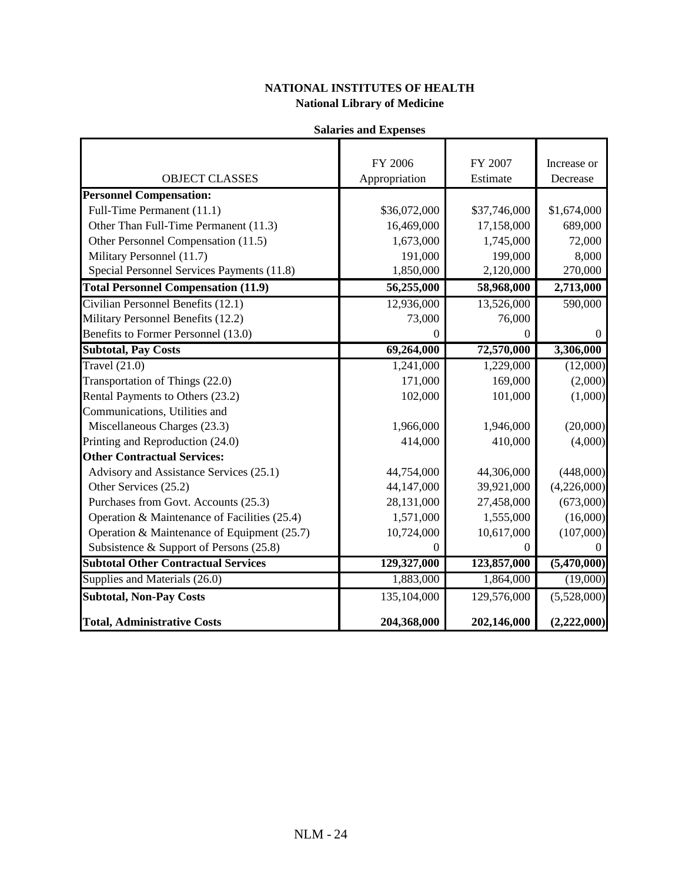| <b>Salaries and Expenses</b> |
|------------------------------|
|                              |

|                                               | FY 2006          | FY 2007          | Increase or    |
|-----------------------------------------------|------------------|------------------|----------------|
| <b>OBJECT CLASSES</b>                         | Appropriation    | Estimate         | Decrease       |
| <b>Personnel Compensation:</b>                |                  |                  |                |
| Full-Time Permanent (11.1)                    | \$36,072,000     | \$37,746,000     | \$1,674,000    |
| Other Than Full-Time Permanent (11.3)         | 16,469,000       | 17,158,000       | 689,000        |
| Other Personnel Compensation (11.5)           | 1,673,000        | 1,745,000        | 72,000         |
| Military Personnel (11.7)                     | 191,000          | 199,000          | 8,000          |
| Special Personnel Services Payments (11.8)    | 1,850,000        | 2,120,000        | 270,000        |
| <b>Total Personnel Compensation (11.9)</b>    | 56,255,000       | 58,968,000       | 2,713,000      |
| Civilian Personnel Benefits (12.1)            | 12,936,000       | 13,526,000       | 590,000        |
| Military Personnel Benefits (12.2)            | 73,000           | 76,000           |                |
| Benefits to Former Personnel (13.0)           | $\boldsymbol{0}$ | $\boldsymbol{0}$ | $\overline{0}$ |
| <b>Subtotal, Pay Costs</b>                    | 69,264,000       | 72,570,000       | 3,306,000      |
| Travel $(21.0)$                               | 1,241,000        | 1,229,000        | (12,000)       |
| Transportation of Things (22.0)               | 171,000          | 169,000          | (2,000)        |
| Rental Payments to Others (23.2)              | 102,000          | 101,000          | (1,000)        |
| Communications, Utilities and                 |                  |                  |                |
| Miscellaneous Charges (23.3)                  | 1,966,000        | 1,946,000        | (20,000)       |
| Printing and Reproduction (24.0)              | 414,000          | 410,000          | (4,000)        |
| <b>Other Contractual Services:</b>            |                  |                  |                |
| Advisory and Assistance Services (25.1)       | 44,754,000       | 44,306,000       | (448,000)      |
| Other Services (25.2)                         | 44,147,000       | 39,921,000       | (4,226,000)    |
| Purchases from Govt. Accounts (25.3)          | 28,131,000       | 27,458,000       | (673,000)      |
| Operation & Maintenance of Facilities (25.4)  | 1,571,000        | 1,555,000        | (16,000)       |
| Operation & Maintenance of Equipment $(25.7)$ | 10,724,000       | 10,617,000       | (107,000)      |
| Subsistence & Support of Persons (25.8)       | $\boldsymbol{0}$ | $\boldsymbol{0}$ | $\Omega$       |
| <b>Subtotal Other Contractual Services</b>    | 129,327,000      | 123,857,000      | (5,470,000)    |
| Supplies and Materials (26.0)                 | 1,883,000        | 1,864,000        | (19,000)       |
| <b>Subtotal, Non-Pay Costs</b>                | 135,104,000      | 129,576,000      | (5,528,000)    |
| <b>Total, Administrative Costs</b>            | 204,368,000      | 202,146,000      | (2,222,000)    |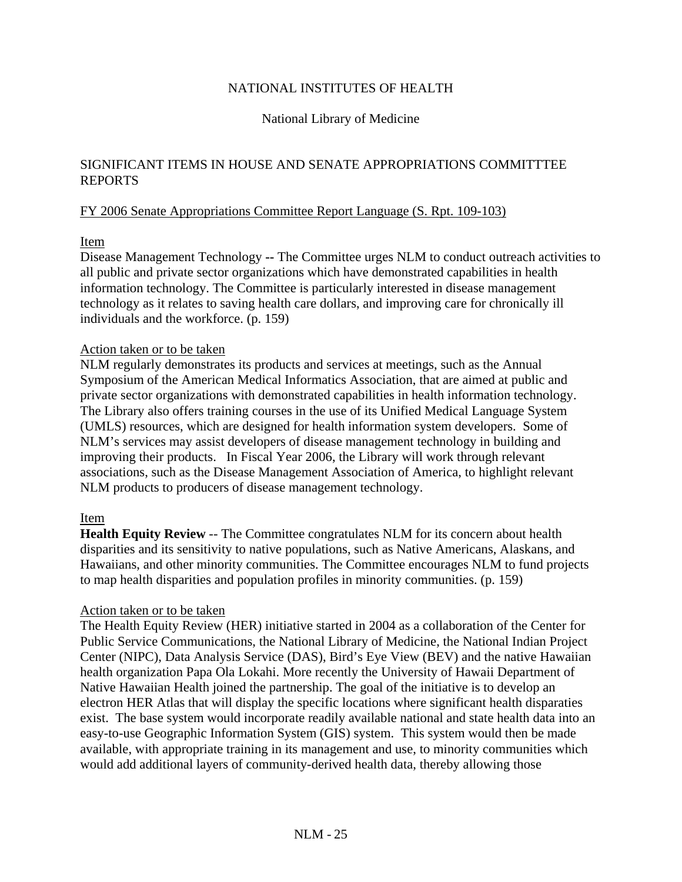## NATIONAL INSTITUTES OF HEALTH

### National Library of Medicine

### SIGNIFICANT ITEMS IN HOUSE AND SENATE APPROPRIATIONS COMMITTTEE REPORTS

### FY 2006 Senate Appropriations Committee Report Language (S. Rpt. 109-103)

### Item

Disease Management Technology **--** The Committee urges NLM to conduct outreach activities to all public and private sector organizations which have demonstrated capabilities in health information technology. The Committee is particularly interested in disease management technology as it relates to saving health care dollars, and improving care for chronically ill individuals and the workforce. (p. 159)

### Action taken or to be taken

NLM regularly demonstrates its products and services at meetings, such as the Annual Symposium of the American Medical Informatics Association, that are aimed at public and private sector organizations with demonstrated capabilities in health information technology. The Library also offers training courses in the use of its Unified Medical Language System (UMLS) resources, which are designed for health information system developers. Some of NLM's services may assist developers of disease management technology in building and improving their products. In Fiscal Year 2006, the Library will work through relevant associations, such as the Disease Management Association of America, to highlight relevant NLM products to producers of disease management technology.

### Item

**Health Equity Review** -- The Committee congratulates NLM for its concern about health disparities and its sensitivity to native populations, such as Native Americans, Alaskans, and Hawaiians, and other minority communities. The Committee encourages NLM to fund projects to map health disparities and population profiles in minority communities. (p. 159)

### Action taken or to be taken

The Health Equity Review (HER) initiative started in 2004 as a collaboration of the Center for Public Service Communications, the National Library of Medicine, the National Indian Project Center (NIPC), Data Analysis Service (DAS), Bird's Eye View (BEV) and the native Hawaiian health organization Papa Ola Lokahi. More recently the University of Hawaii Department of Native Hawaiian Health joined the partnership. The goal of the initiative is to develop an electron HER Atlas that will display the specific locations where significant health disparaties exist. The base system would incorporate readily available national and state health data into an easy-to-use Geographic Information System (GIS) system. This system would then be made available, with appropriate training in its management and use, to minority communities which would add additional layers of community-derived health data, thereby allowing those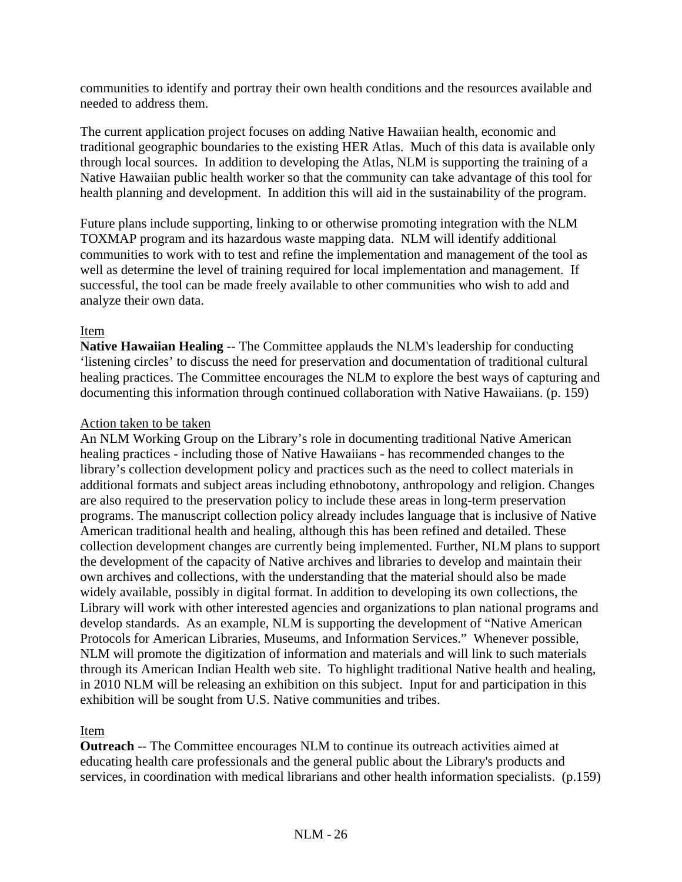communities to identify and portray their own health conditions and the resources available and needed to address them.

The current application project focuses on adding Native Hawaiian health, economic and traditional geographic boundaries to the existing HER Atlas. Much of this data is available only through local sources. In addition to developing the Atlas, NLM is supporting the training of a Native Hawaiian public health worker so that the community can take advantage of this tool for health planning and development. In addition this will aid in the sustainability of the program.

Future plans include supporting, linking to or otherwise promoting integration with the NLM TOXMAP program and its hazardous waste mapping data. NLM will identify additional communities to work with to test and refine the implementation and management of the tool as well as determine the level of training required for local implementation and management. If successful, the tool can be made freely available to other communities who wish to add and analyze their own data.

## Item

**Native Hawaiian Healing** -- The Committee applauds the NLM's leadership for conducting 'listening circles' to discuss the need for preservation and documentation of traditional cultural healing practices. The Committee encourages the NLM to explore the best ways of capturing and documenting this information through continued collaboration with Native Hawaiians. (p. 159)

### Action taken to be taken

An NLM Working Group on the Library's role in documenting traditional Native American healing practices - including those of Native Hawaiians - has recommended changes to the library's collection development policy and practices such as the need to collect materials in additional formats and subject areas including ethnobotony, anthropology and religion. Changes are also required to the preservation policy to include these areas in long-term preservation programs. The manuscript collection policy already includes language that is inclusive of Native American traditional health and healing, although this has been refined and detailed. These collection development changes are currently being implemented. Further, NLM plans to support the development of the capacity of Native archives and libraries to develop and maintain their own archives and collections, with the understanding that the material should also be made widely available, possibly in digital format. In addition to developing its own collections, the Library will work with other interested agencies and organizations to plan national programs and develop standards. As an example, NLM is supporting the development of "Native American Protocols for American Libraries, Museums, and Information Services." Whenever possible, NLM will promote the digitization of information and materials and will link to such materials through its American Indian Health web site. To highlight traditional Native health and healing, in 2010 NLM will be releasing an exhibition on this subject. Input for and participation in this exhibition will be sought from U.S. Native communities and tribes.

Item

**Outreach** -- The Committee encourages NLM to continue its outreach activities aimed at educating health care professionals and the general public about the Library's products and services, in coordination with medical librarians and other health information specialists. (p.159)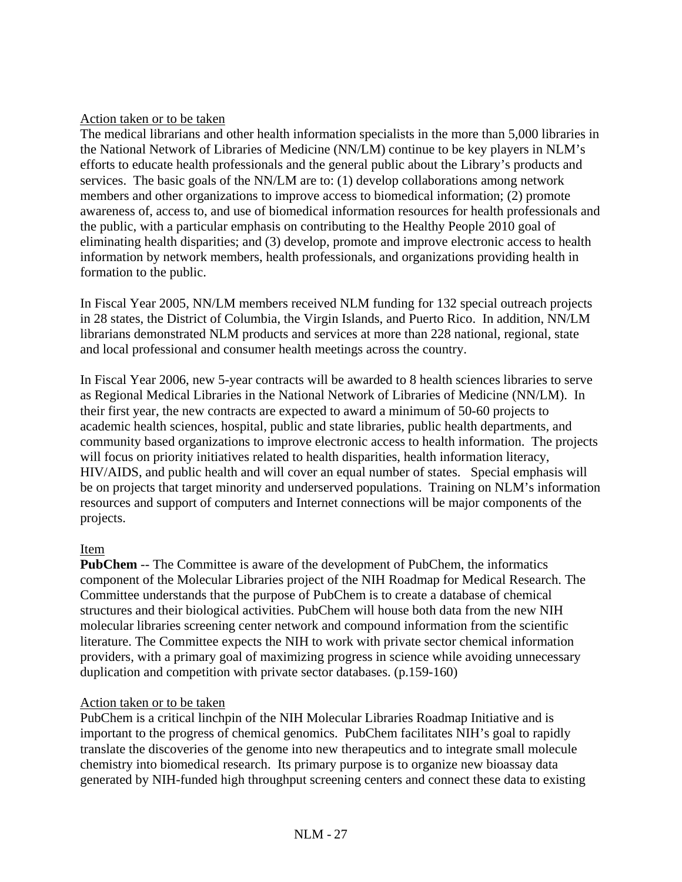### Action taken or to be taken

The medical librarians and other health information specialists in the more than 5,000 libraries in the National Network of Libraries of Medicine (NN/LM) continue to be key players in NLM's efforts to educate health professionals and the general public about the Library's products and services. The basic goals of the NN/LM are to: (1) develop collaborations among network members and other organizations to improve access to biomedical information; (2) promote awareness of, access to, and use of biomedical information resources for health professionals and the public, with a particular emphasis on contributing to the Healthy People 2010 goal of eliminating health disparities; and (3) develop, promote and improve electronic access to health information by network members, health professionals, and organizations providing health in formation to the public.

In Fiscal Year 2005, NN/LM members received NLM funding for 132 special outreach projects in 28 states, the District of Columbia, the Virgin Islands, and Puerto Rico. In addition, NN/LM librarians demonstrated NLM products and services at more than 228 national, regional, state and local professional and consumer health meetings across the country.

In Fiscal Year 2006, new 5-year contracts will be awarded to 8 health sciences libraries to serve as Regional Medical Libraries in the National Network of Libraries of Medicine (NN/LM). In their first year, the new contracts are expected to award a minimum of 50-60 projects to academic health sciences, hospital, public and state libraries, public health departments, and community based organizations to improve electronic access to health information. The projects will focus on priority initiatives related to health disparities, health information literacy, HIV/AIDS, and public health and will cover an equal number of states. Special emphasis will be on projects that target minority and underserved populations. Training on NLM's information resources and support of computers and Internet connections will be major components of the projects.

### Item

**PubChem** -- The Committee is aware of the development of PubChem, the informatics component of the Molecular Libraries project of the NIH Roadmap for Medical Research. The Committee understands that the purpose of PubChem is to create a database of chemical structures and their biological activities. PubChem will house both data from the new NIH molecular libraries screening center network and compound information from the scientific literature. The Committee expects the NIH to work with private sector chemical information providers, with a primary goal of maximizing progress in science while avoiding unnecessary duplication and competition with private sector databases. (p.159-160)

### Action taken or to be taken

PubChem is a critical linchpin of the NIH Molecular Libraries Roadmap Initiative and is important to the progress of chemical genomics. PubChem facilitates NIH's goal to rapidly translate the discoveries of the genome into new therapeutics and to integrate small molecule chemistry into biomedical research. Its primary purpose is to organize new bioassay data generated by NIH-funded high throughput screening centers and connect these data to existing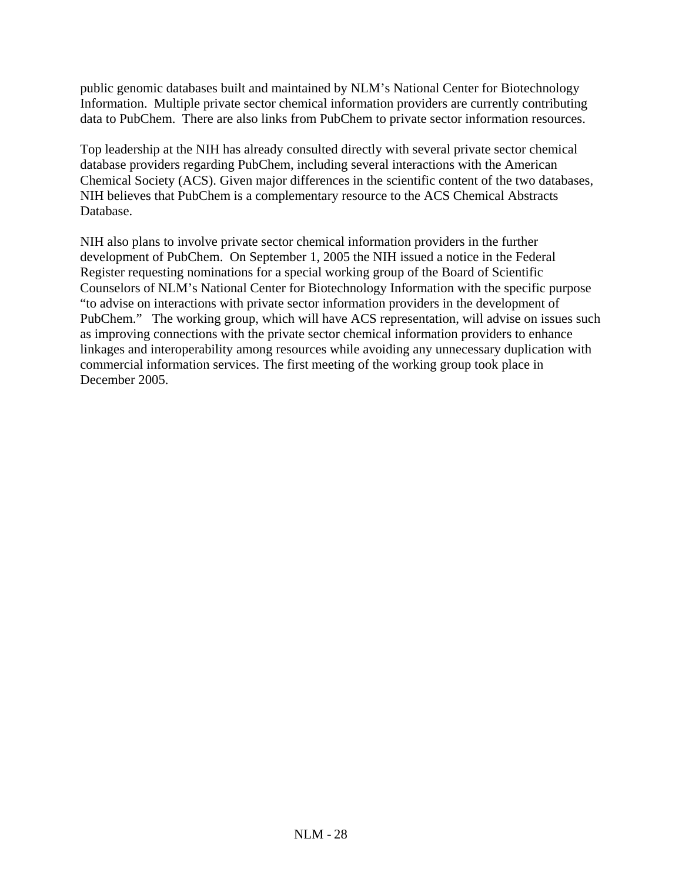public genomic databases built and maintained by NLM's National Center for Biotechnology Information. Multiple private sector chemical information providers are currently contributing data to PubChem. There are also links from PubChem to private sector information resources.

Top leadership at the NIH has already consulted directly with several private sector chemical database providers regarding PubChem, including several interactions with the American Chemical Society (ACS). Given major differences in the scientific content of the two databases, NIH believes that PubChem is a complementary resource to the ACS Chemical Abstracts Database.

NIH also plans to involve private sector chemical information providers in the further development of PubChem. On September 1, 2005 the NIH issued a notice in the Federal Register requesting nominations for a special working group of the Board of Scientific Counselors of NLM's National Center for Biotechnology Information with the specific purpose "to advise on interactions with private sector information providers in the development of PubChem." The working group, which will have ACS representation, will advise on issues such as improving connections with the private sector chemical information providers to enhance linkages and interoperability among resources while avoiding any unnecessary duplication with commercial information services. The first meeting of the working group took place in December 2005.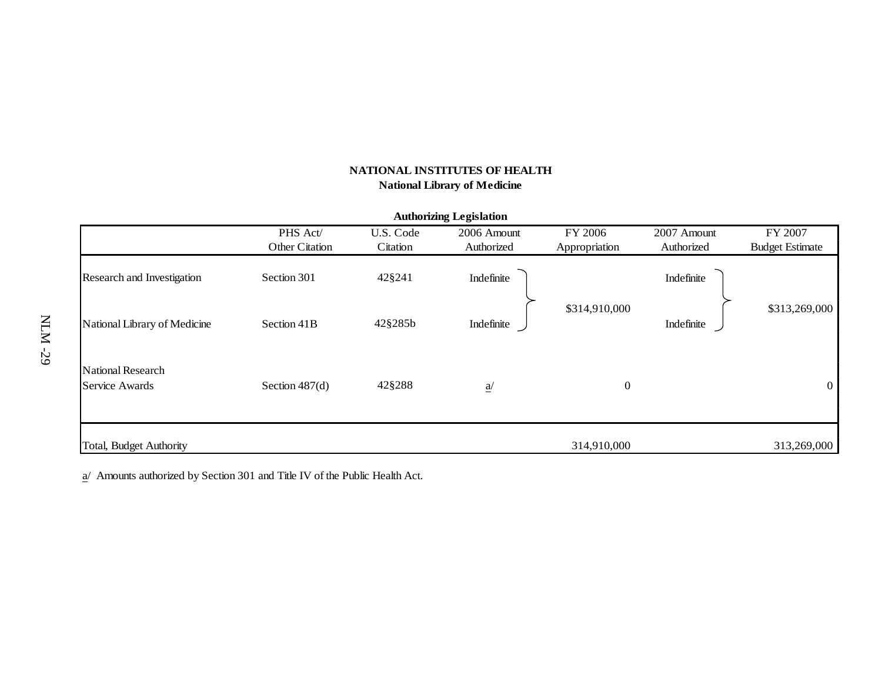| <b>Authorizing Legislation</b> |                  |           |                 |               |             |                        |  |  |
|--------------------------------|------------------|-----------|-----------------|---------------|-------------|------------------------|--|--|
|                                | PHS Act/         | U.S. Code | 2006 Amount     | FY 2006       | 2007 Amount | FY 2007                |  |  |
|                                | Other Citation   | Citation  | Authorized      | Appropriation | Authorized  | <b>Budget Estimate</b> |  |  |
| Research and Investigation     | Section 301      | 42§241    | Indefinite      |               | Indefinite  |                        |  |  |
| National Library of Medicine   | Section 41B      | 42§285b   | Indefinite      | \$314,910,000 | Indefinite  | \$313,269,000          |  |  |
| National Research              |                  |           |                 |               |             |                        |  |  |
| Service Awards                 | Section $487(d)$ | 42§288    | $\underline{a}$ | $\mathbf{0}$  |             | $\theta$               |  |  |
| Total, Budget Authority        |                  |           |                 | 314,910,000   |             | 313,269,000            |  |  |

 $\underline{a}$ / Amounts authorized by Section 301 and Title IV of the Public Health Act.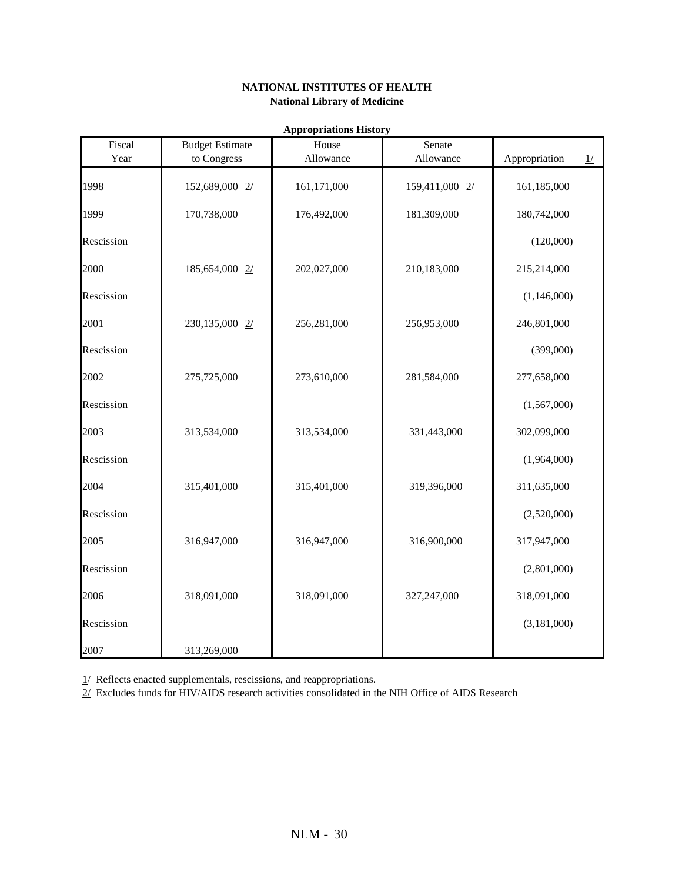|                |                                       | <b>Appropriations History</b> |                     |                                |
|----------------|---------------------------------------|-------------------------------|---------------------|--------------------------------|
| Fiscal<br>Year | <b>Budget Estimate</b><br>to Congress | House<br>Allowance            | Senate<br>Allowance | Appropriation<br>$\frac{1}{2}$ |
| 1998           | 152,689,000 2/                        | 161,171,000                   | 159,411,000 2/      | 161,185,000                    |
| 1999           | 170,738,000                           | 176,492,000                   | 181,309,000         | 180,742,000                    |
| Rescission     |                                       |                               |                     | (120,000)                      |
| 2000           | 185,654,000 2/                        | 202,027,000                   | 210,183,000         | 215,214,000                    |
| Rescission     |                                       |                               |                     | (1,146,000)                    |
| 2001           | 230,135,000 2/                        | 256,281,000                   | 256,953,000         | 246,801,000                    |
| Rescission     |                                       |                               |                     | (399,000)                      |
| 2002           | 275,725,000                           | 273,610,000                   | 281,584,000         | 277,658,000                    |
| Rescission     |                                       |                               |                     | (1,567,000)                    |
| 2003           | 313,534,000                           | 313,534,000                   | 331,443,000         | 302,099,000                    |
| Rescission     |                                       |                               |                     | (1,964,000)                    |
| 2004           | 315,401,000                           | 315,401,000                   | 319,396,000         | 311,635,000                    |
| Rescission     |                                       |                               |                     | (2,520,000)                    |
| 2005           | 316,947,000                           | 316,947,000                   | 316,900,000         | 317,947,000                    |
| Rescission     |                                       |                               |                     | (2,801,000)                    |
| 2006           | 318,091,000                           | 318,091,000                   | 327,247,000         | 318,091,000                    |
| Rescission     |                                       |                               |                     | (3,181,000)                    |
| 2007           | 313,269,000                           |                               |                     |                                |

 $1/$  Reflects enacted supplementals, rescissions, and reappropriations.

 $2/$  Excludes funds for  $\widehat{H}$ IV/AIDS research activities consolidated in the NIH Office of AIDS Research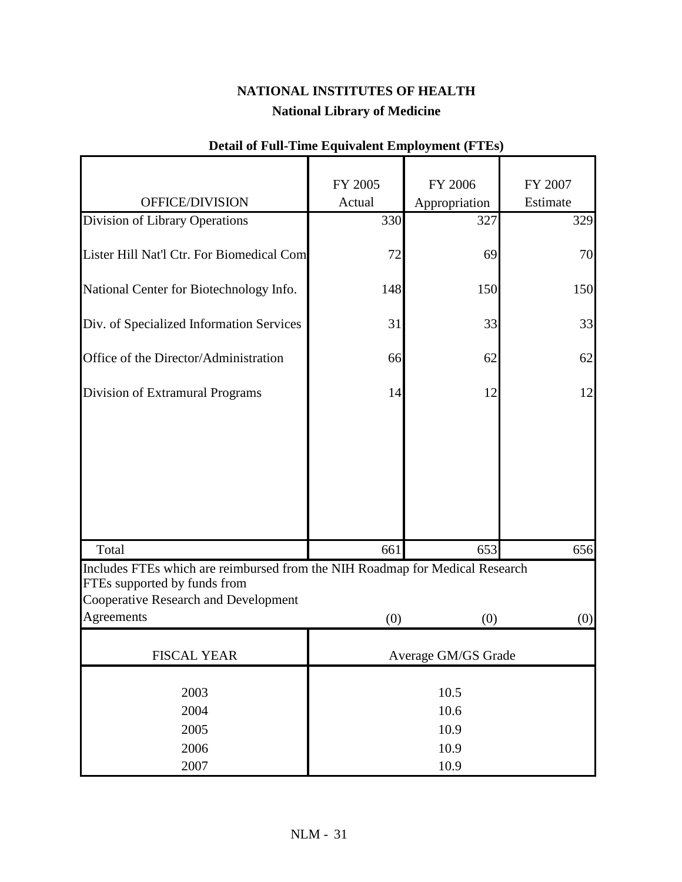|                                                                                                                                                                    | FY 2005             | FY 2006       | FY 2007  |
|--------------------------------------------------------------------------------------------------------------------------------------------------------------------|---------------------|---------------|----------|
| OFFICE/DIVISION                                                                                                                                                    | Actual              | Appropriation | Estimate |
| Division of Library Operations                                                                                                                                     | 330                 | 327           | 329      |
| Lister Hill Nat'l Ctr. For Biomedical Com                                                                                                                          | 72                  | 69            | 70       |
| National Center for Biotechnology Info.                                                                                                                            | 148                 | 150           | 150      |
| Div. of Specialized Information Services                                                                                                                           | 31                  | 33            | 33       |
| Office of the Director/Administration                                                                                                                              | 66                  | 62            | 62       |
| Division of Extramural Programs                                                                                                                                    | 14                  | 12            | 12       |
|                                                                                                                                                                    |                     |               |          |
| Total                                                                                                                                                              | 661                 | 653           | 656      |
| Includes FTEs which are reimbursed from the NIH Roadmap for Medical Research<br>FTEs supported by funds from<br>Cooperative Research and Development<br>Agreements |                     |               |          |
|                                                                                                                                                                    | (0)                 | (0)           | (0)      |
| <b>FISCAL YEAR</b>                                                                                                                                                 | Average GM/GS Grade |               |          |
| 2003<br>2004                                                                                                                                                       | 10.5<br>10.6        |               |          |
| 2005                                                                                                                                                               | 10.9                |               |          |
| 2006                                                                                                                                                               | 10.9                |               |          |
| 2007                                                                                                                                                               | 10.9                |               |          |

## **Detail of Full-Time Equivalent Employment (FTEs)**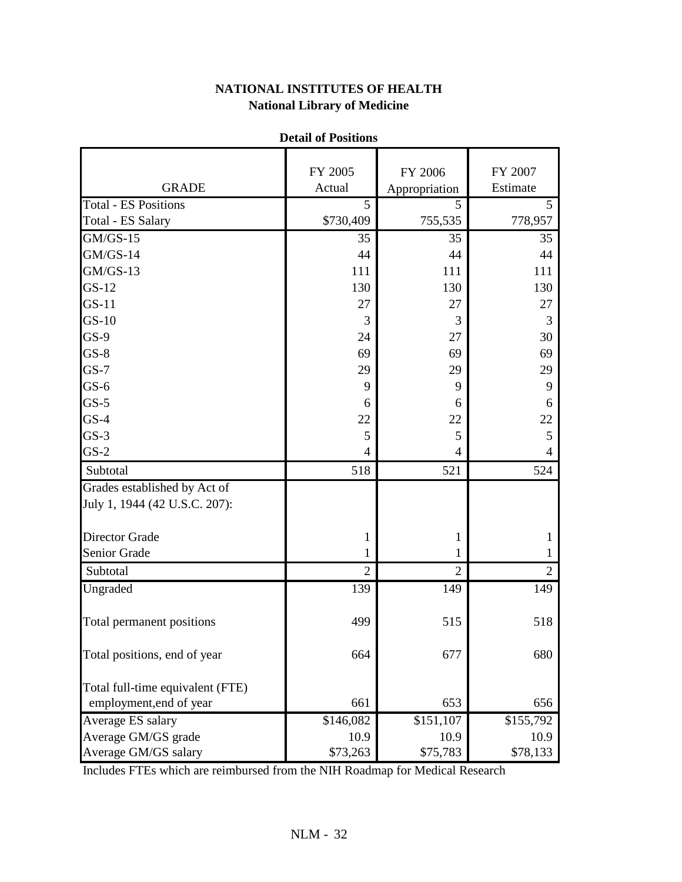|                                                               | Detail of a contions |                          |                     |
|---------------------------------------------------------------|----------------------|--------------------------|---------------------|
| <b>GRADE</b>                                                  | FY 2005<br>Actual    | FY 2006<br>Appropriation | FY 2007<br>Estimate |
| <b>Total - ES Positions</b>                                   | 5                    | 5                        | 5                   |
| Total - ES Salary                                             | \$730,409            | 755,535                  | 778,957             |
| $GM/GS-15$                                                    | 35                   | 35                       | 35                  |
| $GM/GS-14$                                                    | 44                   | 44                       | 44                  |
| $GM/GS-13$                                                    | 111                  | 111                      | 111                 |
| $GS-12$                                                       | 130                  | 130                      | 130                 |
| $GS-11$                                                       | 27                   | 27                       | 27                  |
| $GS-10$                                                       | 3                    | 3                        | 3                   |
| $GS-9$                                                        | 24                   | 27                       | 30                  |
| $GS-8$                                                        | 69                   | 69                       | 69                  |
| $GS-7$                                                        | 29                   | 29                       | 29                  |
| $GS-6$                                                        |                      |                          |                     |
|                                                               | 9                    | 9                        | 9                   |
| $GS-5$                                                        | 6                    | 6                        | 6                   |
| $GS-4$                                                        | 22                   | 22                       | 22                  |
| $GS-3$<br>$GS-2$                                              | 5<br>4               | 5<br>$\overline{4}$      | 5<br>$\overline{4}$ |
|                                                               |                      |                          |                     |
| Subtotal                                                      | 518                  | 521                      | 524                 |
| Grades established by Act of<br>July 1, 1944 (42 U.S.C. 207): |                      |                          |                     |
| <b>Director Grade</b>                                         | 1                    | 1                        | 1                   |
| Senior Grade                                                  | 1                    | $\mathbf{1}$             | $\mathbf{1}$        |
| Subtotal                                                      | $\overline{2}$       | $\overline{2}$           | $\overline{2}$      |
| Ungraded                                                      | 139                  | 149                      | 149                 |
| Total permanent positions                                     | 499                  | 515                      | 518                 |
| Total positions, end of year                                  | 664                  | 677                      | 680                 |
| Total full-time equivalent (FTE)                              |                      |                          |                     |
| employment, end of year                                       | 661                  | 653                      | 656                 |
| Average ES salary                                             | $\sqrt{$146,082}$    | \$151,107                | \$155,792           |
| Average GM/GS grade                                           | 10.9                 | 10.9                     | 10.9                |
| Average GM/GS salary                                          | \$73,263             | \$75,783                 | \$78,133            |

### **Detail of Positions**

Includes FTEs which are reimbursed from the NIH Roadmap for Medical Research